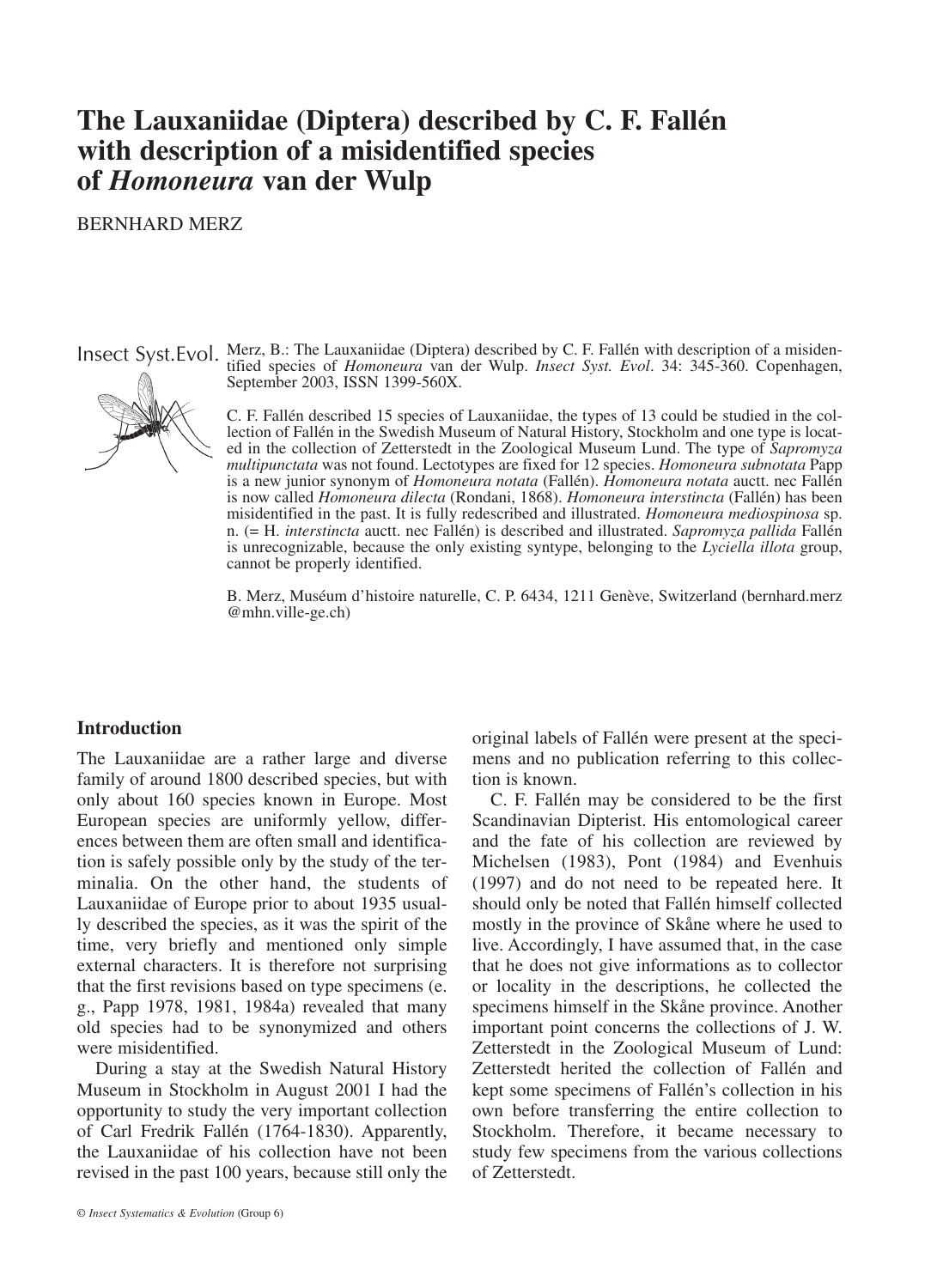# **The Lauxaniidae (Diptera) described by C. F. Fallén with description of a misidentified species of** *Homoneura* **van der Wulp**

### BERNHARD MERZ



Insect Syst.Evol. Merz, B.: The Lauxaniidae (Diptera) described by C. F. Fallén with description of a misidentified species of *Homoneura* van der Wulp. *Insect Syst. Evol*. 34: 345-360. Copenhagen, September 2003, ISSN 1399-560X.

> C. F. Fallén described 15 species of Lauxaniidae, the types of 13 could be studied in the collection of Fallén in the Swedish Museum of Natural History, Stockholm and one type is located in the collection of Zetterstedt in the Zoological Museum Lund. The type of *Sapromyza multipunctata* was not found. Lectotypes are fixed for 12 species. *Homoneura subnotata* Papp is a new junior synonym of *Homoneura notata* (Fallén). *Homoneura notata* auctt. nec Fallén is now called *Homoneura dilecta* (Rondani, 1868). *Homoneura interstincta* (Fallén) has been misidentified in the past. It is fully redescribed and illustrated. *Homoneura mediospinosa* sp. n. (= H. *interstincta* auctt. nec Fallén) is described and illustrated. *Sapromyza pallida* Fallén is unrecognizable, because the only existing syntype, belonging to the *Lyciella illota* group, cannot be properly identified.

> B. Merz, Muséum d'histoire naturelle, C. P. 6434, 1211 Genève, Switzerland (bernhard.merz @mhn.ville-ge.ch)

### **Introduction**

The Lauxaniidae are a rather large and diverse family of around 1800 described species, but with only about 160 species known in Europe. Most European species are uniformly yellow, differences between them are often small and identification is safely possible only by the study of the terminalia. On the other hand, the students of Lauxaniidae of Europe prior to about 1935 usually described the species, as it was the spirit of the time, very briefly and mentioned only simple external characters. It is therefore not surprising that the first revisions based on type specimens (e. g., Papp 1978, 1981, 1984a) revealed that many old species had to be synonymized and others were misidentified.

During a stay at the Swedish Natural History Museum in Stockholm in August 2001 I had the opportunity to study the very important collection of Carl Fredrik Fallén (1764-1830). Apparently, the Lauxaniidae of his collection have not been revised in the past 100 years, because still only the

© *Insect Systematics & Evolution* (Group 6)

original labels of Fallén were present at the specimens and no publication referring to this collection is known.

C. F. Fallén may be considered to be the first Scandinavian Dipterist. His entomological career and the fate of his collection are reviewed by Michelsen (1983), Pont (1984) and Evenhuis (1997) and do not need to be repeated here. It should only be noted that Fallén himself collected mostly in the province of Skåne where he used to live. Accordingly, I have assumed that, in the case that he does not give informations as to collector or locality in the descriptions, he collected the specimens himself in the Skåne province. Another important point concerns the collections of J. W. Zetterstedt in the Zoological Museum of Lund: Zetterstedt herited the collection of Fallén and kept some specimens of Fallén's collection in his own before transferring the entire collection to Stockholm. Therefore, it became necessary to study few specimens from the various collections of Zetterstedt.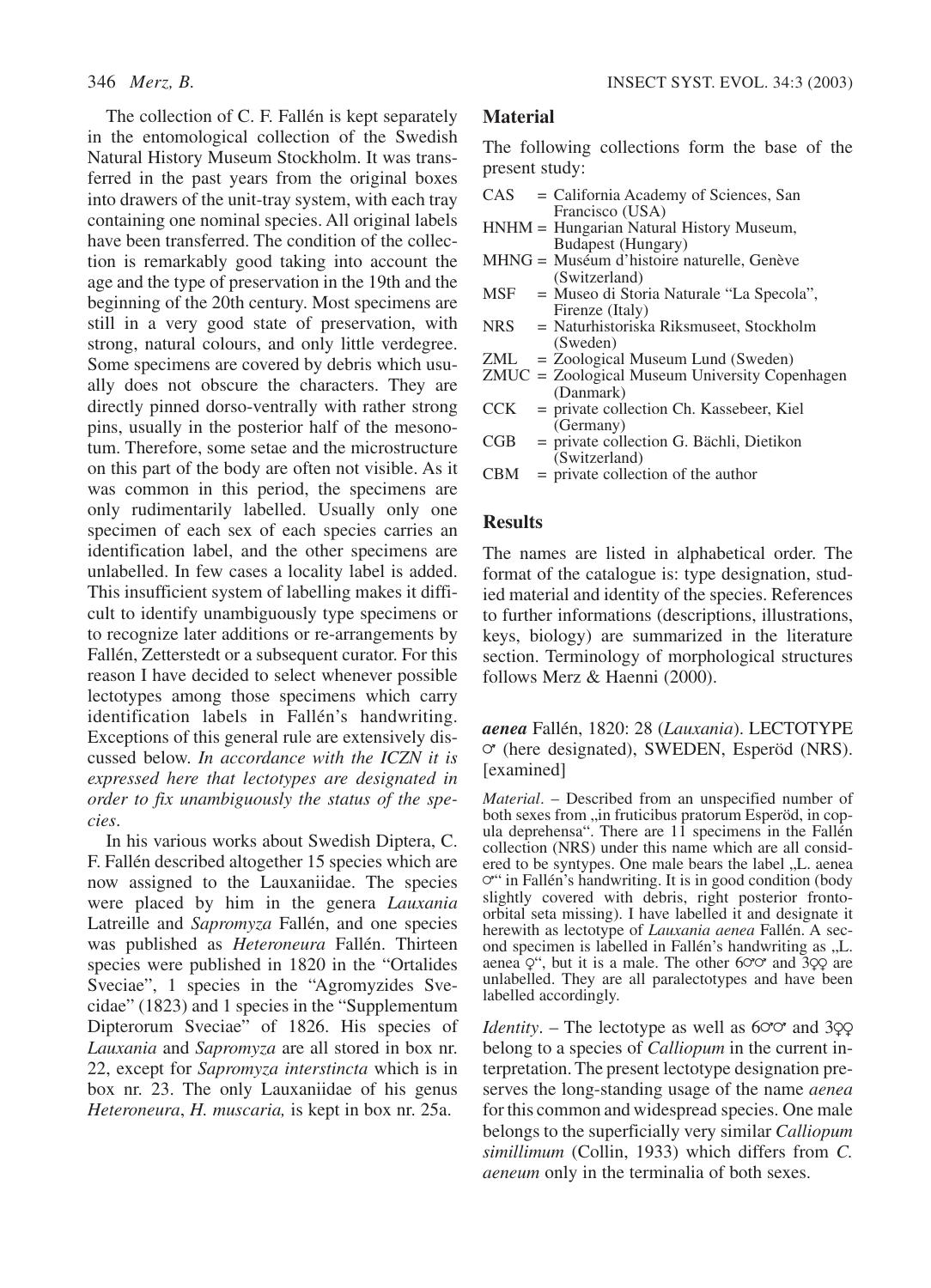The collection of C. F. Fallén is kept separately in the entomological collection of the Swedish Natural History Museum Stockholm. It was transferred in the past years from the original boxes into drawers of the unit-tray system, with each tray containing one nominal species. All original labels have been transferred. The condition of the collection is remarkably good taking into account the age and the type of preservation in the 19th and the beginning of the 20th century. Most specimens are still in a very good state of preservation, with strong, natural colours, and only little verdegree. Some specimens are covered by debris which usually does not obscure the characters. They are directly pinned dorso-ventrally with rather strong pins, usually in the posterior half of the mesonotum. Therefore, some setae and the microstructure on this part of the body are often not visible. As it was common in this period, the specimens are only rudimentarily labelled. Usually only one specimen of each sex of each species carries an identification label, and the other specimens are unlabelled. In few cases a locality label is added. This insufficient system of labelling makes it difficult to identify unambiguously type specimens or to recognize later additions or re-arrangements by Fallén, Zetterstedt or a subsequent curator. For this reason I have decided to select whenever possible lectotypes among those specimens which carry identification labels in Fallén's handwriting. Exceptions of this general rule are extensively discussed below. *In accordance with the ICZN it is expressed here that lectotypes are designated in order to fix unambiguously the status of the species*.

In his various works about Swedish Diptera, C. F. Fallén described altogether 15 species which are now assigned to the Lauxaniidae. The species were placed by him in the genera *Lauxania* Latreille and *Sapromyza* Fallén, and one species was published as *Heteroneura* Fallén. Thirteen species were published in 1820 in the "Ortalides Sveciae", 1 species in the "Agromyzides Svecidae" (1823) and 1 species in the "Supplementum Dipterorum Sveciae" of 1826. His species of *Lauxania* and *Sapromyza* are all stored in box nr. 22, except for *Sapromyza interstincta* which is in box nr. 23. The only Lauxaniidae of his genus *Heteroneura*, *H. muscaria,* is kept in box nr. 25a.

# **Material**

The following collections form the base of the present study:

- CAS = California Academy of Sciences, San Francisco (USA)
- HNHM = Hungarian Natural History Museum, Budapest (Hungary)
- MHNG = Muséum d'histoire naturelle, Genève (Switzerland)
- MSF = Museo di Storia Naturale "La Specola", Firenze (Italy)
- NRS = Naturhistoriska Riksmuseet, Stockholm (Sweden)
- ZML = Zoological Museum Lund (Sweden)
- ZMUC = Zoological Museum University Copenhagen (Danmark)
- CCK = private collection Ch. Kassebeer, Kiel (Germany)
- CGB = private collection G. Bächli, Dietikon (Switzerland)
- $CBM =$  private collection of the author

### **Results**

The names are listed in alphabetical order. The format of the catalogue is: type designation, studied material and identity of the species. References to further informations (descriptions, illustrations, keys, biology) are summarized in the literature section. Terminology of morphological structures follows Merz & Haenni (2000).

*aenea* Fallén, 1820: 28 (*Lauxania*). LECTOTYPE  $\circ$  (here designated), SWEDEN, Esperöd (NRS). [examined]

*Material*. – Described from an unspecified number of both sexes from "in fruticibus pratorum Esperöd, in copula deprehensa". There are 11 specimens in the Fallén collection (NRS) under this name which are all considered to be syntypes. One male bears the label "L. aenea  $\circ$ " in Fallén's handwriting. It is in good condition (body slightly covered with debris, right posterior frontoorbital seta missing). I have labelled it and designate it herewith as lectotype of *Lauxania aenea* Fallén. A second specimen is labelled in Fallén's handwriting as "L. aenea  $Q^{\prime\prime}$ , but it is a male. The other 6 $\sigma\sigma$  and 3 $\varphi\varphi$  are unlabelled. They are all paralectotypes and have been labelled accordingly.

*Identity*. – The lectotype as well as  $60^\circ$  and 3 $99^\circ$ belong to a species of *Calliopum* in the current interpretation. The present lectotype designation preserves the long-standing usage of the name *aenea* for this common and widespread species. One male belongs to the superficially very similar *Calliopum simillimum* (Collin, 1933) which differs from *C. aeneum* only in the terminalia of both sexes.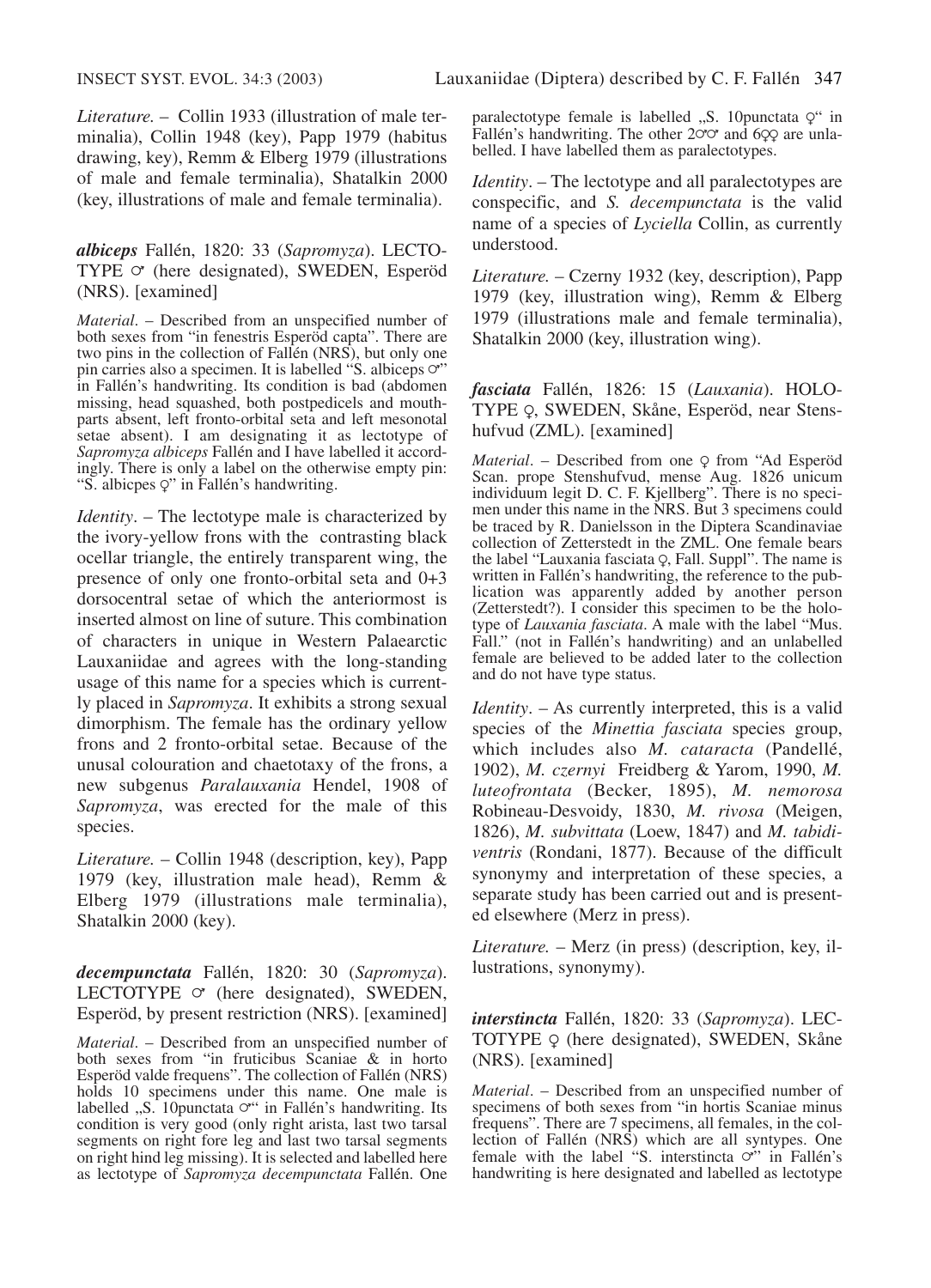*Literature.* – Collin 1933 (illustration of male terminalia), Collin 1948 (key), Papp 1979 (habitus drawing, key), Remm & Elberg 1979 (illustrations of male and female terminalia), Shatalkin 2000 (key, illustrations of male and female terminalia).

### *albiceps* Fallén, 1820: 33 (*Sapromyza*). LECTO-TYPE  $\circ$  (here designated), SWEDEN, Esperöd (NRS). [examined]

*Material*. – Described from an unspecified number of both sexes from "in fenestris Esperöd capta". There are two pins in the collection of Fallén (NRS), but only one pin carries also a specimen. It is labelled "S. albiceps  $\circ$ " in Fallén's handwriting. Its condition is bad (abdomen missing, head squashed, both postpedicels and mouthparts absent, left fronto-orbital seta and left mesonotal setae absent). I am designating it as lectotype of *Sapromyza albiceps* Fallén and I have labelled it accordingly. There is only a label on the otherwise empty pin: "S. albicpes  $Q$ " in Fallén's handwriting.

*Identity*. – The lectotype male is characterized by the ivory-yellow frons with the contrasting black ocellar triangle, the entirely transparent wing, the presence of only one fronto-orbital seta and 0+3 dorsocentral setae of which the anteriormost is inserted almost on line of suture. This combination of characters in unique in Western Palaearctic Lauxaniidae and agrees with the long-standing usage of this name for a species which is currently placed in *Sapromyza*. It exhibits a strong sexual dimorphism. The female has the ordinary yellow frons and 2 fronto-orbital setae. Because of the unusal colouration and chaetotaxy of the frons, a new subgenus *Paralauxania* Hendel, 1908 of *Sapromyza*, was erected for the male of this species.

*Literature.* – Collin 1948 (description, key), Papp 1979 (key, illustration male head), Remm & Elberg 1979 (illustrations male terminalia), Shatalkin 2000 (key).

*decempunctata* Fallén, 1820: 30 (*Sapromyza*). LECTOTYPE  $\circ$  (here designated), SWEDEN, Esperöd, by present restriction (NRS). [examined]

*Material*. – Described from an unspecified number of both sexes from "in fruticibus Scaniae & in horto Esperöd valde frequens". The collection of Fallén (NRS) holds 10 specimens under this name. One male is labelled "S. 10punctata  $\sigma$ " in Fallén's handwriting. Its condition is very good (only right arista, last two tarsal segments on right fore leg and last two tarsal segments on right hind leg missing). It is selected and labelled here as lectotype of *Sapromyza decempunctata* Fallén. One

paralectotype female is labelled  $, S. 10$ punctata  $Q^{\prime\prime}$  in Fallén's handwriting. The other  $20^\circ$  and  $6QQ$  are unlabelled. I have labelled them as paralectotypes.

*Identity*. – The lectotype and all paralectotypes are conspecific, and *S. decempunctata* is the valid name of a species of *Lyciella* Collin, as currently understood.

*Literature.* – Czerny 1932 (key, description), Papp 1979 (key, illustration wing), Remm & Elberg 1979 (illustrations male and female terminalia), Shatalkin 2000 (key, illustration wing).

*fasciata* Fallén, 1826: 15 (*Lauxania*). HOLO-TYPE Q, SWEDEN, Skåne, Esperöd, near Stenshufvud (ZML). [examined]

*Material.* – Described from one Q from "Ad Esperöd Scan. prope Stenshufvud, mense Aug. 1826 unicum individuum legit D. C. F. Kjellberg". There is no specimen under this name in the NRS. But 3 specimens could be traced by R. Danielsson in the Diptera Scandinaviae collection of Zetterstedt in the ZML. One female bears the label "Lauxania fasciata  $\varphi$ , Fall. Suppl". The name is written in Fallén's handwriting, the reference to the publication was apparently added by another person (Zetterstedt?). I consider this specimen to be the holotype of *Lauxania fasciata*. A male with the label "Mus. Fall." (not in Fallén's handwriting) and an unlabelled female are believed to be added later to the collection and do not have type status.

*Identity.* – As currently interpreted, this is a valid species of the *Minettia fasciata* species group, which includes also *M. cataracta* (Pandellé, 1902), *M. czernyi* Freidberg & Yarom, 1990, *M. luteofrontata* (Becker, 1895), *M. nemorosa* Robineau-Desvoidy, 1830, *M. rivosa* (Meigen, 1826), *M. subvittata* (Loew, 1847) and *M. tabidiventris* (Rondani, 1877). Because of the difficult synonymy and interpretation of these species, a separate study has been carried out and is presented elsewhere (Merz in press).

*Literature.* – Merz (in press) (description, key, illustrations, synonymy).

*interstincta* Fallén, 1820: 33 (*Sapromyza*). LEC-TOTYPE Q (here designated), SWEDEN, Skåne (NRS). [examined]

*Material*. – Described from an unspecified number of specimens of both sexes from "in hortis Scaniae minus frequens". There are 7 specimens, all females, in the collection of Fallén (NRS) which are all syntypes. One<br>female with the label "S. interstincta  $\circ$ " in Fallén's handwriting is here designated and labelled as lectotype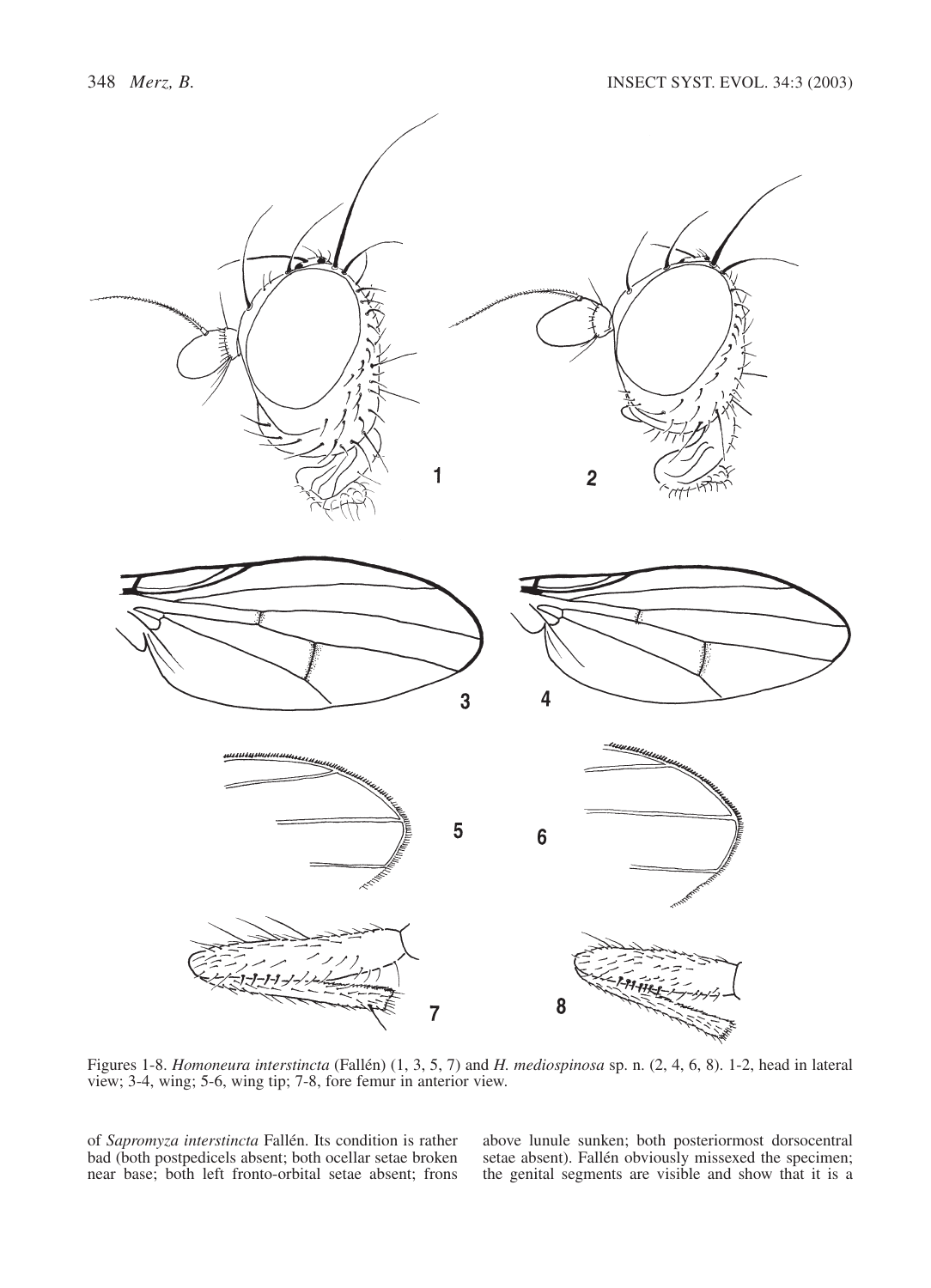

Figures 1-8. *Homoneura interstincta* (Fallén) (1, 3, 5, 7) and *H. mediospinosa* sp. n. (2, 4, 6, 8). 1-2, head in lateral view; 3-4, wing; 5-6, wing tip; 7-8, fore femur in anterior view.

of *Sapromyza interstincta* Fallén. Its condition is rather bad (both postpedicels absent; both ocellar setae broken near base; both left fronto-orbital setae absent; frons above lunule sunken; both posteriormost dorsocentral setae absent). Fallén obviously missexed the specimen; the genital segments are visible and show that it is a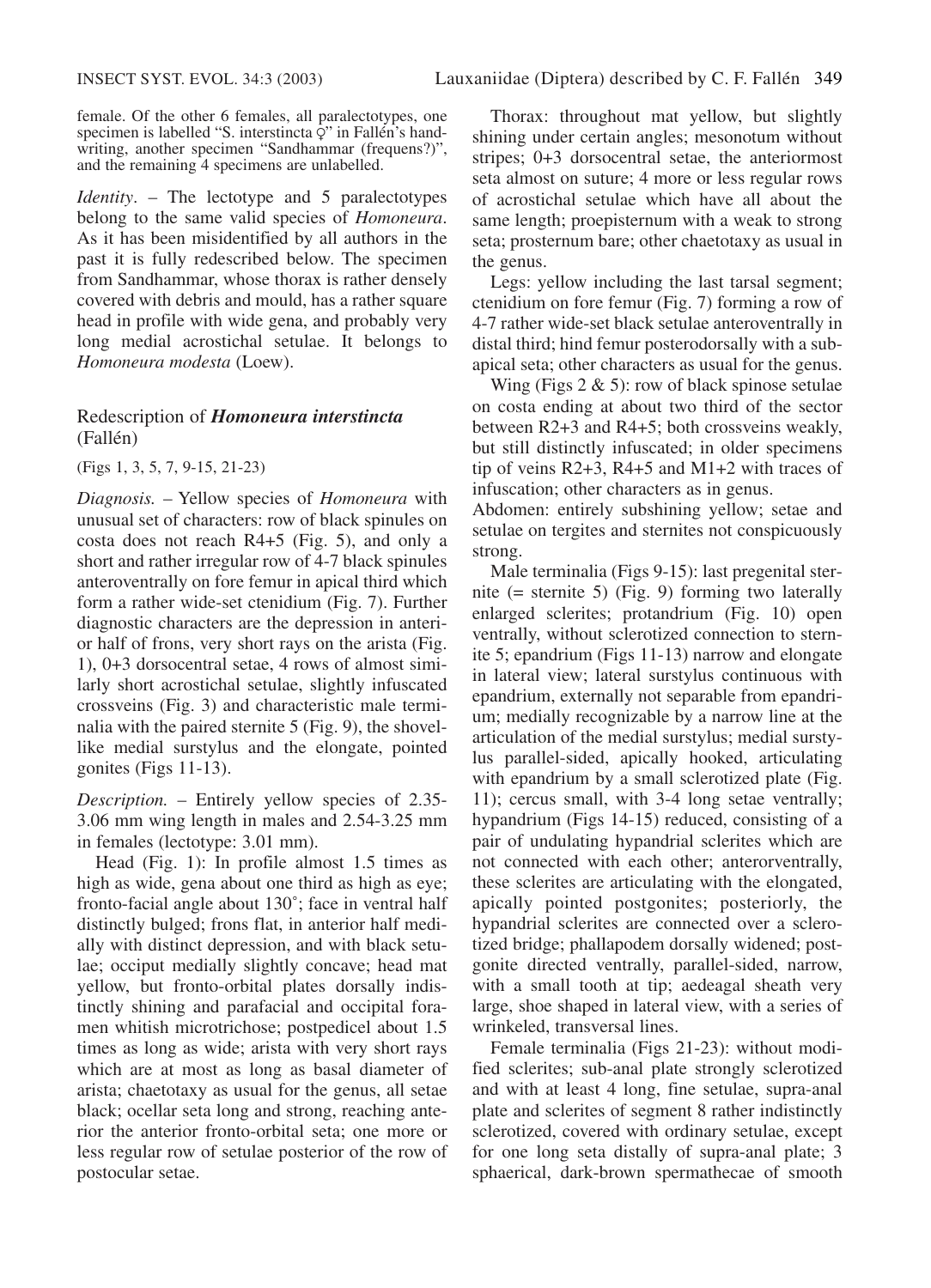female. Of the other 6 females, all paralectotypes, one specimen is labelled "S. interstincta  $\overline{Q}$ " in Fallén's handwriting, another specimen "Sandhammar (frequens?)", and the remaining 4 specimens are unlabelled.

*Identity*. – The lectotype and 5 paralectotypes belong to the same valid species of *Homoneura*. As it has been misidentified by all authors in the past it is fully redescribed below. The specimen from Sandhammar, whose thorax is rather densely covered with debris and mould, has a rather square head in profile with wide gena, and probably very long medial acrostichal setulae. It belongs to *Homoneura modesta* (Loew).

### Redescription of *Homoneura interstincta* (Fallén)

(Figs 1, 3, 5, 7, 9-15, 21-23)

*Diagnosis.* – Yellow species of *Homoneura* with unusual set of characters: row of black spinules on costa does not reach R4+5 (Fig. 5), and only a short and rather irregular row of 4-7 black spinules anteroventrally on fore femur in apical third which form a rather wide-set ctenidium (Fig. 7). Further diagnostic characters are the depression in anterior half of frons, very short rays on the arista (Fig. 1), 0+3 dorsocentral setae, 4 rows of almost similarly short acrostichal setulae, slightly infuscated crossveins (Fig. 3) and characteristic male terminalia with the paired sternite 5 (Fig. 9), the shovellike medial surstylus and the elongate, pointed gonites (Figs 11-13).

*Description.* – Entirely yellow species of 2.35- 3.06 mm wing length in males and 2.54-3.25 mm in females (lectotype: 3.01 mm).

Head (Fig. 1): In profile almost 1.5 times as high as wide, gena about one third as high as eye; fronto-facial angle about 130˚; face in ventral half distinctly bulged; frons flat, in anterior half medially with distinct depression, and with black setulae; occiput medially slightly concave; head mat yellow, but fronto-orbital plates dorsally indistinctly shining and parafacial and occipital foramen whitish microtrichose; postpedicel about 1.5 times as long as wide; arista with very short rays which are at most as long as basal diameter of arista; chaetotaxy as usual for the genus, all setae black; ocellar seta long and strong, reaching anterior the anterior fronto-orbital seta; one more or less regular row of setulae posterior of the row of postocular setae.

Thorax: throughout mat yellow, but slightly shining under certain angles; mesonotum without stripes; 0+3 dorsocentral setae, the anteriormost seta almost on suture; 4 more or less regular rows of acrostichal setulae which have all about the same length; proepisternum with a weak to strong seta; prosternum bare; other chaetotaxy as usual in the genus.

Legs: yellow including the last tarsal segment; ctenidium on fore femur (Fig. 7) forming a row of 4-7 rather wide-set black setulae anteroventrally in distal third; hind femur posterodorsally with a subapical seta; other characters as usual for the genus.

Wing (Figs  $2 \& 5$ ): row of black spinose setulae on costa ending at about two third of the sector between R2+3 and R4+5; both crossveins weakly, but still distinctly infuscated; in older specimens tip of veins R2+3, R4+5 and M1+2 with traces of infuscation; other characters as in genus.

Abdomen: entirely subshining yellow; setae and setulae on tergites and sternites not conspicuously strong.

Male terminalia (Figs 9-15): last pregenital sternite (= sternite 5) (Fig. 9) forming two laterally enlarged sclerites; protandrium (Fig. 10) open ventrally, without sclerotized connection to sternite 5; epandrium (Figs 11-13) narrow and elongate in lateral view; lateral surstylus continuous with epandrium, externally not separable from epandrium; medially recognizable by a narrow line at the articulation of the medial surstylus; medial surstylus parallel-sided, apically hooked, articulating with epandrium by a small sclerotized plate (Fig. 11); cercus small, with 3-4 long setae ventrally; hypandrium (Figs 14-15) reduced, consisting of a pair of undulating hypandrial sclerites which are not connected with each other; anterorventrally, these sclerites are articulating with the elongated, apically pointed postgonites; posteriorly, the hypandrial sclerites are connected over a sclerotized bridge; phallapodem dorsally widened; postgonite directed ventrally, parallel-sided, narrow, with a small tooth at tip; aedeagal sheath very large, shoe shaped in lateral view, with a series of wrinkeled, transversal lines.

Female terminalia (Figs 21-23): without modified sclerites; sub-anal plate strongly sclerotized and with at least 4 long, fine setulae, supra-anal plate and sclerites of segment 8 rather indistinctly sclerotized, covered with ordinary setulae, except for one long seta distally of supra-anal plate; 3 sphaerical, dark-brown spermathecae of smooth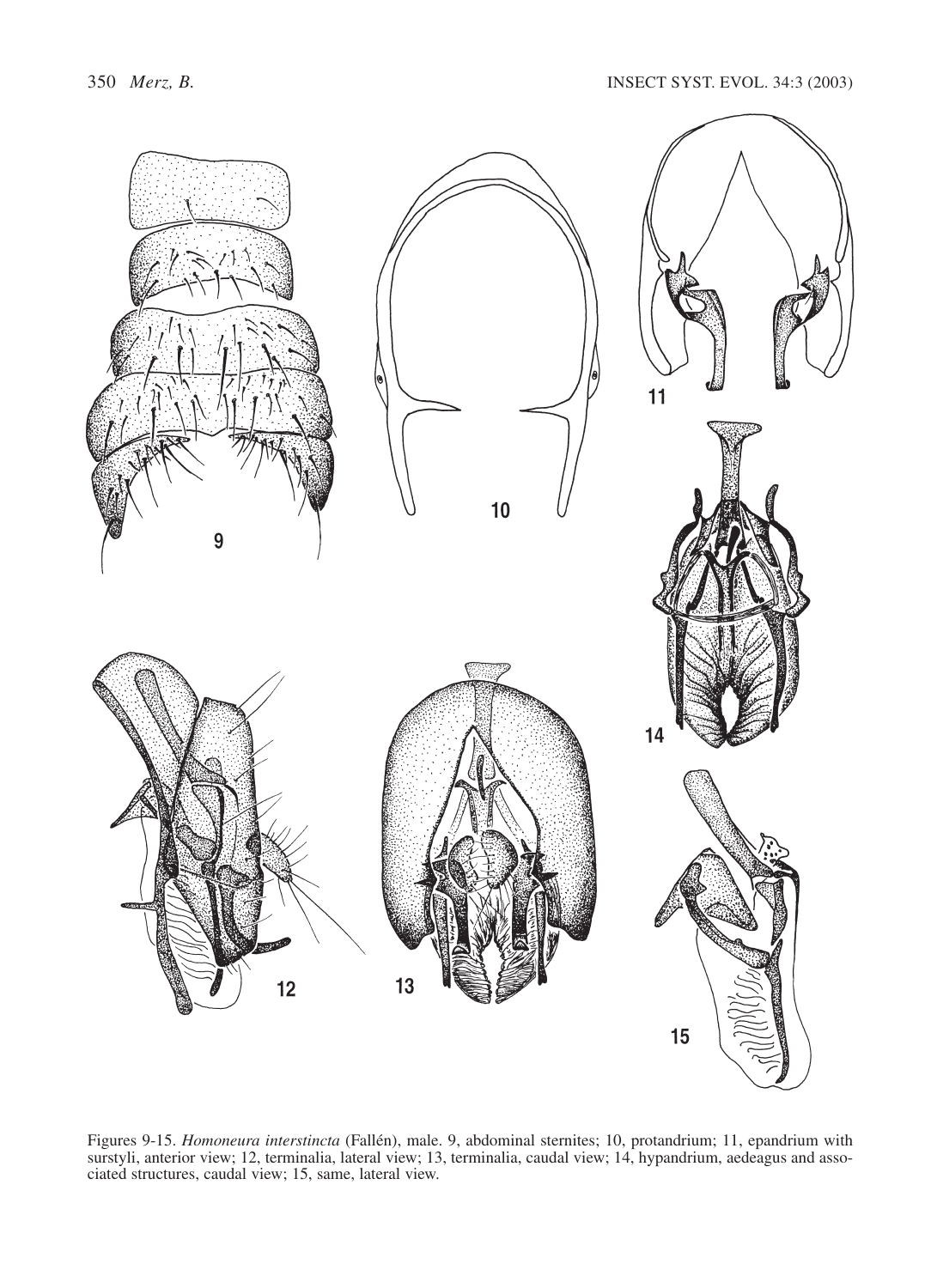

Figures 9-15. *Homoneura interstincta* (Fallén), male. 9, abdominal sternites; 10, protandrium; 11, epandrium with surstyli, anterior view; 12, terminalia, lateral view; 13, terminalia, caudal view; 14, hypandrium, aedeagus and associated structures, caudal view; 15, same, lateral view.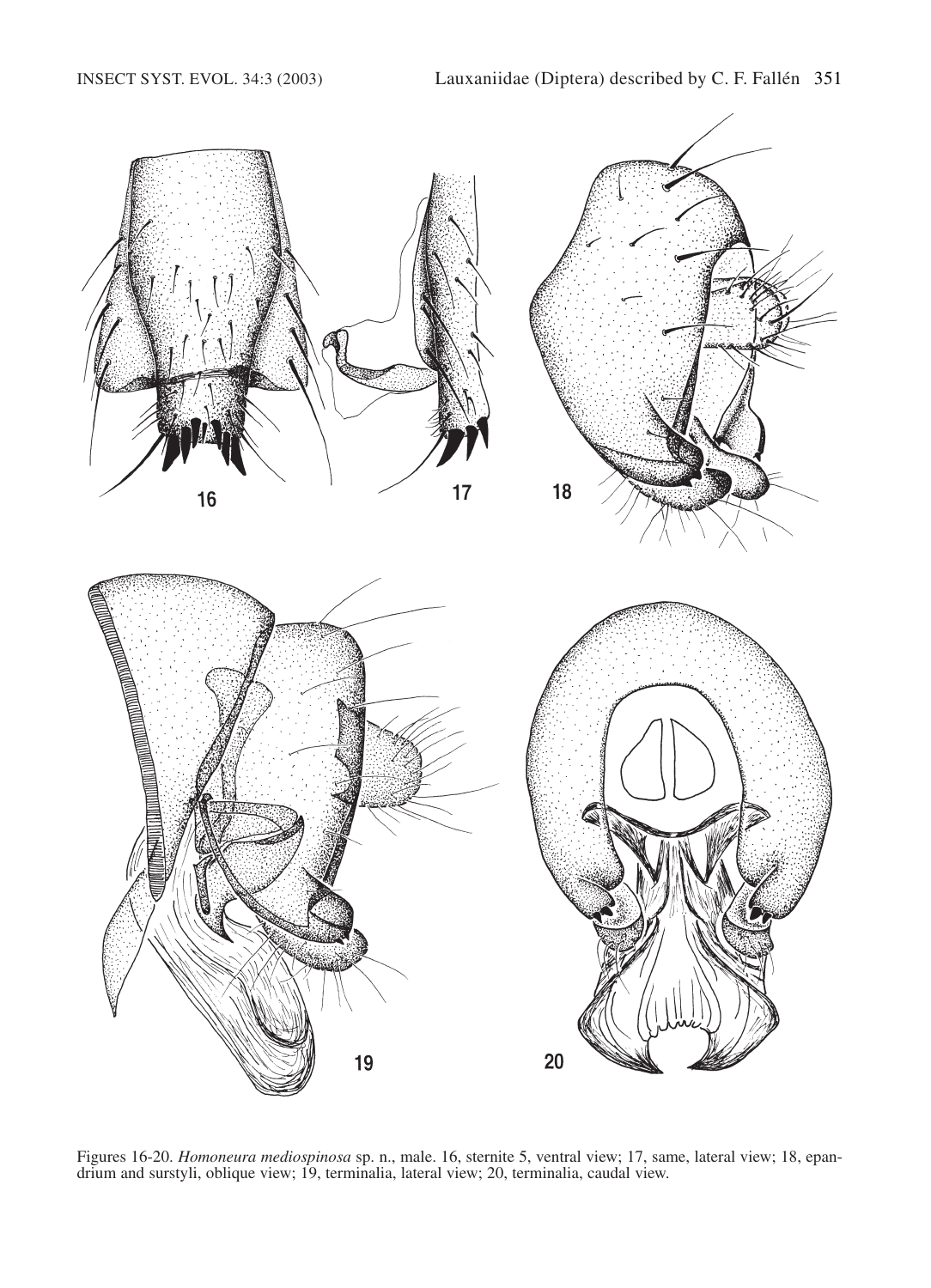

Figures 16-20. *Homoneura mediospinosa* sp. n., male. 16, sternite 5, ventral view; 17, same, lateral view; 18, epandrium and surstyli, oblique view; 19, terminalia, lateral view; 20, terminalia, caudal view.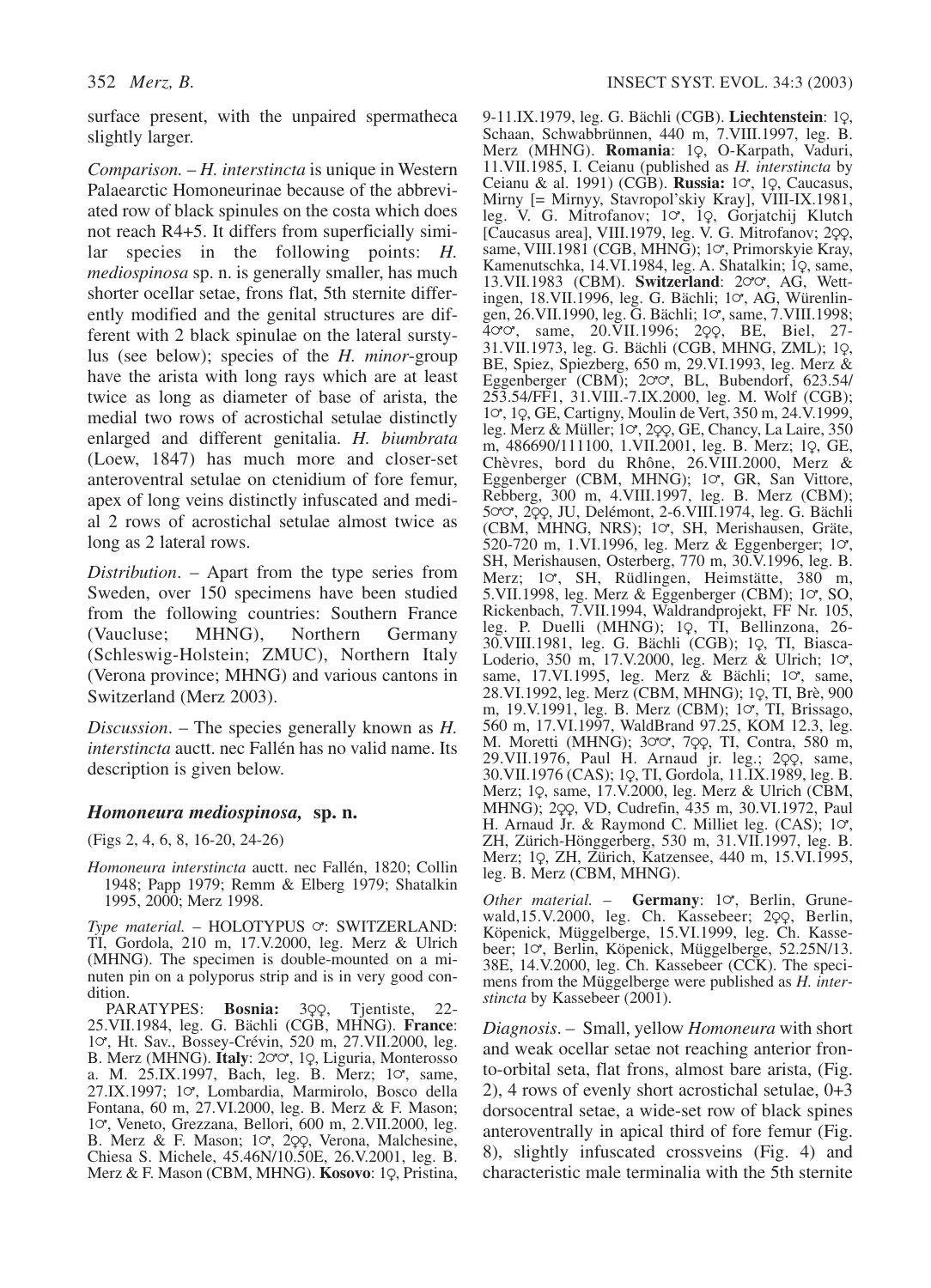surface present, with the unpaired spermatheca slightly larger.

*Comparison.* – *H. interstincta* is unique in Western Palaearctic Homoneurinae because of the abbreviated row of black spinules on the costa which does not reach R4+5. It differs from superficially similar species in the following points: *H. mediospinosa* sp. n. is generally smaller, has much shorter ocellar setae, frons flat, 5th sternite differently modified and the genital structures are different with 2 black spinulae on the lateral surstylus (see below); species of the *H. minor*-group have the arista with long rays which are at least twice as long as diameter of base of arista, the medial two rows of acrostichal setulae distinctly enlarged and different genitalia. *H. biumbrata* (Loew, 1847) has much more and closer-set anteroventral setulae on ctenidium of fore femur, apex of long veins distinctly infuscated and medial 2 rows of acrostichal setulae almost twice as long as 2 lateral rows.

*Distribution*. – Apart from the type series from Sweden, over 150 specimens have been studied from the following countries: Southern France (Vaucluse; MHNG), Northern Germany (Schleswig-Holstein; ZMUC), Northern Italy (Verona province; MHNG) and various cantons in Switzerland (Merz 2003).

*Discussion*. – The species generally known as *H. interstincta* auctt. nec Fallén has no valid name. Its description is given below.

### *Homoneura mediospinosa,* **sp. n.**

(Figs 2, 4, 6, 8, 16-20, 24-26)

*Homoneura interstincta* auctt. nec Fallén, 1820; Collin 1948; Papp 1979; Remm & Elberg 1979; Shatalkin 1995, 2000; Merz 1998.

*Type material.* – HOLOTYPUS  $\circ$ : SWITZERLAND: TI, Gordola, 210 m, 17.V.2000, leg. Merz & Ulrich (MHNG). The specimen is double-mounted on a minuten pin on a polyporus strip and is in very good condition.

PARATYPES: **Bosnia:** 3QQ, Tjentiste, 22-<br>25.VII.1984, leg. G. Bächli (CGB, MHNG). **France**: 10<sup>,</sup> Ht. Sav., Bossey-Crévin, 520 m, 27.VII.2000, leg. B. Merz (MHNG). Italy: 200, 19, Liguria, Monterosso a. M.  $25.IX.1997$ , Bach, leg. B. Merz;  $10^{\circ}$ , same, 27.IX.1997; 10, Lombardia, Marmirolo, Bosco della Fontana, 60 m, 27.VI.2000, leg. B. Merz & F. Mason; 1 $\sigma$ , Veneto, Grezzana, Bellori, 600 m, 2.VII.2000, leg. B. Merz & F. Mason; 10, 299, Verona, Malchesine, Chiesa S. Michele, 45.46N/10.50E, 26.V.2001, leg. B. Merz & F. Mason (CBM, MHNG). **Kosovo**: 1Q, Pristina, 9-11.IX.1979, leg. G. Bächli (CGB). Liechtenstein: 1Q, Schaan, Schwabbrünnen, 440 m, 7.VIII.1997, leg. B. Merz (MHNG). **Romania**: 19, O-Karpath, Vaduri, 11.VII.1985, I. Ceianu (published as *H. interstincta* by Ceianu & al. 1991) (CGB). **Russia:** 10<sup>,</sup> 10, Caucasus, Mirny [= Mirnyy, Stavropol'skiy Kray], VIII-IX.1981, leg. V. G. Mitrofanov;  $1\sigma$ , 1 $\varphi$ , Gorjatchij Klutch [Caucasus area], VIII.1979, leg. V. G. Mitrofanov; 2çç, same, VIII.1981 (CGB, MHNG); 1 $\sigma$ , Primorskyie Kray, Kamenutschka, 14.VI.1984, leg. A. Shatalkin; 1Q, same, 13.VII.1983 (CBM). **Switzerland**: 200, AG, Wettingen, 18.VII.1996, leg. G. Bächli; 10, AG, Würenlingen, 26.VII.1990, leg. G. Bächli; 10, same, 7.VIII.1998;  $40^{\circ}$ , same, 20.VII.1996; 2 $2^{\circ}$ , BE, Biel, 27- $31.$ VII.1973, leg. G. Bächli (CGB, MHNG, ZML); 1 $\varphi$ , BE, Spiez, Spiezberg, 650 m, 29.VI.1993, leg. Merz & Eggenberger (CBM);  $2\sigma\sigma$ , BL, Bubendorf, 623.54/ 253.54/FF1, 31.VIII.-7.IX.2000, leg. M. Wolf (CGB); 10, 19, GE, Cartigny, Moulin de Vert, 350 m, 24.V.1999, leg. Merz & Müller; 10, 2oo, GE, Chancy, La Laire, 350 m, 486690/111100, 1.VII.2001, leg. B. Merz; 1Q, GE, Chèvres, bord du Rhône, 26.VIII.2000, Merz &<br>Eggenberger (CBM, MHNG); 1ơ, GR, San Vittore, Rebberg, 300 m, 4.VIII.1997, leg. B. Merz (CBM); 500, 299, JU, Delémont, 2-6. VIII. 1974, leg. G. Bächli (CBM, MHNG, NRS); 10, SH, Merishausen, Gräte, 520-720 m, 1.VI.1996, leg. Merz & Eggenberger;  $1\sigma$ , SH, Merishausen, Osterberg, 770 m, 30.V.1996, leg. B. Merz; 10, SH, Rüdlingen, Heimstätte, 380 m, 5.VII.1998, leg. Merz & Eggenberger (CBM); 1 $\sigma$ , SO, Rickenbach, 7.VII.1994, Waldrandprojekt, FF Nr. 105, leg. P. Duelli (MHNG); 1Q, TI, Bellinzona, 26-30.VIII.1981, leg. G. Bächli (CGB); 19, TI, Biasca-Loderio,  $350 \text{ m}$ ,  $17. V.2000$ , leg. Merz & Ulrich;  $1\sigma$ , same, 17.VI.1995, leg. Merz & Bächli; 10, same, 28.VI.1992, leg. Merz (CBM, MHNG); 1Q, TI, Brè, 900 m, 19.V.1991, leg. B. Merz (CBM); 10, TI, Brissago, 560 m, 17.VI.1997, WaldBrand 97.25, KOM 12.3, leg. M. Moretti (MHNG); 300, 700, TI, Contra, 580 m, 29.VII.1976, Paul H. Arnaud jr. leg.; 2QQ, same, 30.VII.1976 (CAS); 1Q, TI, Gordola, 11.IX.1989, leg. B. Merz; 1Q, same, 17.V.2000, leg. Merz & Ulrich (CBM, MHNG); 2cq, VD, Cudrefin, 435 m, 30.VI.1972, Paul H. Arnaud Jr. & Raymond C. Milliet leg. (CAS); 10, ZH, Zürich-Hönggerberg, 530 m, 31.VII.1997, leg. B. Merz; 1Q, ZH, Zürich, Katzensee, 440 m, 15.VI.1995, leg. B. Merz (CBM, MHNG).

Other material. - Germany: 10, Berlin, Grunewald,15.V.2000, leg. Ch. Kassebeer; 2QQ, Berlin, Köpenick, Müggelberge, 15.VI.1999, leg. Ch. Kassebeer; 10, Berlin, Köpenick, Müggelberge, 52.25N/13. 38E, 14.V.2000, leg. Ch. Kassebeer (CCK). The specimens from the Müggelberge were published as *H. interstincta* by Kassebeer (2001).

*Diagnosis*. – Small, yellow *Homoneura* with short and weak ocellar setae not reaching anterior fronto-orbital seta, flat frons, almost bare arista, (Fig. 2), 4 rows of evenly short acrostichal setulae, 0+3 dorsocentral setae, a wide-set row of black spines anteroventrally in apical third of fore femur (Fig. 8), slightly infuscated crossveins (Fig. 4) and characteristic male terminalia with the 5th sternite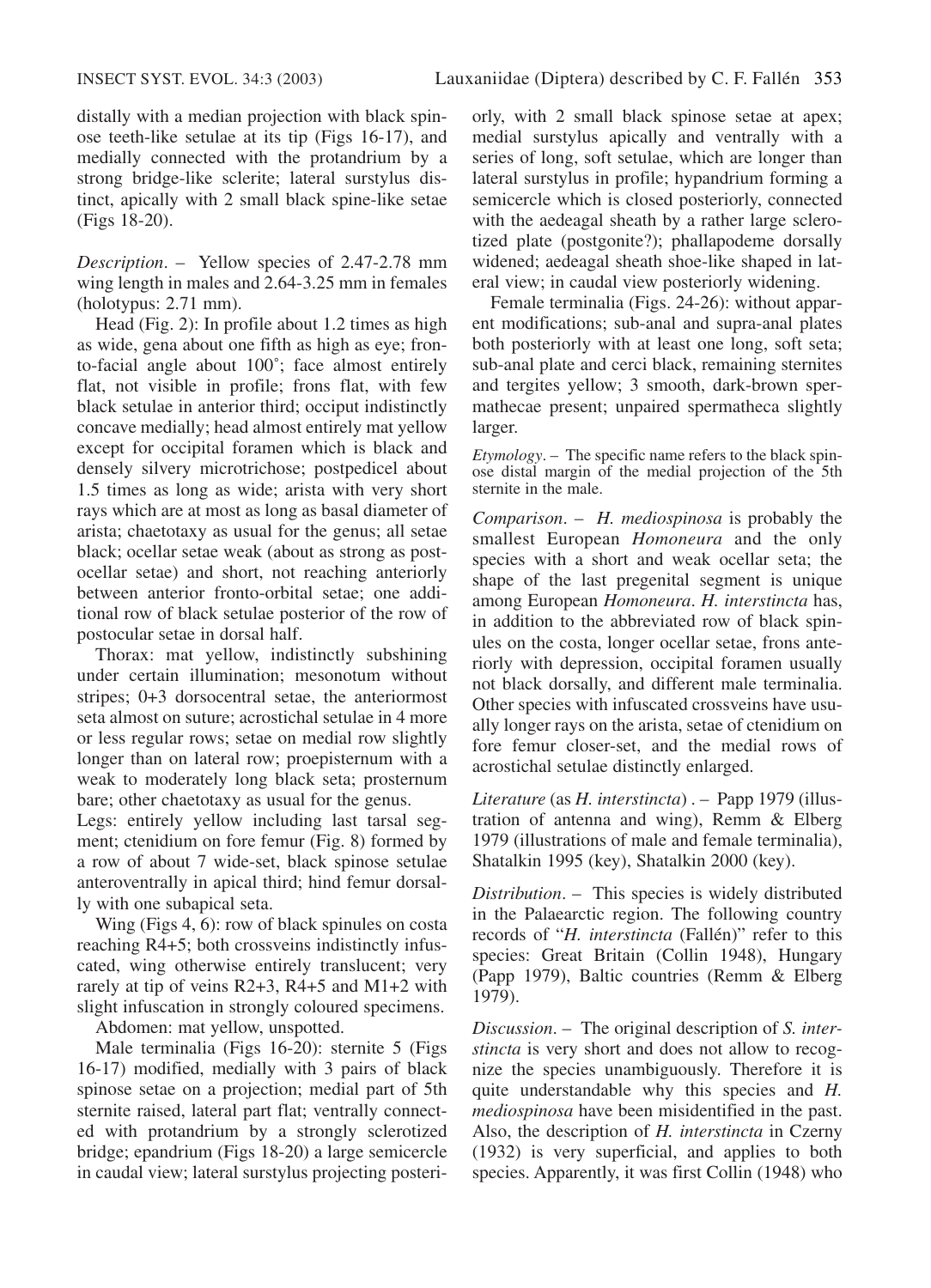distally with a median projection with black spinose teeth-like setulae at its tip (Figs 16-17), and medially connected with the protandrium by a strong bridge-like sclerite; lateral surstylus distinct, apically with 2 small black spine-like setae (Figs 18-20).

*Description*. – Yellow species of 2.47-2.78 mm wing length in males and 2.64-3.25 mm in females (holotypus: 2.71 mm).

Head (Fig. 2): In profile about 1.2 times as high as wide, gena about one fifth as high as eye; fronto-facial angle about 100˚; face almost entirely flat, not visible in profile; frons flat, with few black setulae in anterior third; occiput indistinctly concave medially; head almost entirely mat yellow except for occipital foramen which is black and densely silvery microtrichose; postpedicel about 1.5 times as long as wide; arista with very short rays which are at most as long as basal diameter of arista; chaetotaxy as usual for the genus; all setae black; ocellar setae weak (about as strong as postocellar setae) and short, not reaching anteriorly between anterior fronto-orbital setae; one additional row of black setulae posterior of the row of postocular setae in dorsal half.

Thorax: mat yellow, indistinctly subshining under certain illumination; mesonotum without stripes; 0+3 dorsocentral setae, the anteriormost seta almost on suture; acrostichal setulae in 4 more or less regular rows; setae on medial row slightly longer than on lateral row; proepisternum with a weak to moderately long black seta; prosternum bare; other chaetotaxy as usual for the genus.

Legs: entirely yellow including last tarsal segment; ctenidium on fore femur (Fig. 8) formed by a row of about 7 wide-set, black spinose setulae anteroventrally in apical third; hind femur dorsally with one subapical seta.

Wing (Figs 4, 6): row of black spinules on costa reaching R4+5; both crossveins indistinctly infuscated, wing otherwise entirely translucent; very rarely at tip of veins R2+3, R4+5 and M1+2 with slight infuscation in strongly coloured specimens.

Abdomen: mat yellow, unspotted.

Male terminalia (Figs 16-20): sternite 5 (Figs 16-17) modified, medially with 3 pairs of black spinose setae on a projection; medial part of 5th sternite raised, lateral part flat; ventrally connected with protandrium by a strongly sclerotized bridge; epandrium (Figs 18-20) a large semicercle in caudal view; lateral surstylus projecting posteriorly, with 2 small black spinose setae at apex; medial surstylus apically and ventrally with a series of long, soft setulae, which are longer than lateral surstylus in profile; hypandrium forming a semicercle which is closed posteriorly, connected with the aedeagal sheath by a rather large sclerotized plate (postgonite?); phallapodeme dorsally widened; aedeagal sheath shoe-like shaped in lateral view; in caudal view posteriorly widening.

Female terminalia (Figs. 24-26): without apparent modifications; sub-anal and supra-anal plates both posteriorly with at least one long, soft seta; sub-anal plate and cerci black, remaining sternites and tergites yellow; 3 smooth, dark-brown spermathecae present; unpaired spermatheca slightly larger.

*Etymology*. – The specific name refers to the black spinose distal margin of the medial projection of the 5th sternite in the male.

*Comparison*. – *H. mediospinosa* is probably the smallest European *Homoneura* and the only species with a short and weak ocellar seta; the shape of the last pregenital segment is unique among European *Homoneura*. *H. interstincta* has, in addition to the abbreviated row of black spinules on the costa, longer ocellar setae, frons anteriorly with depression, occipital foramen usually not black dorsally, and different male terminalia. Other species with infuscated crossveins have usually longer rays on the arista, setae of ctenidium on fore femur closer-set, and the medial rows of acrostichal setulae distinctly enlarged.

*Literature* (as *H. interstincta*) . – Papp 1979 (illustration of antenna and wing), Remm & Elberg 1979 (illustrations of male and female terminalia), Shatalkin 1995 (key), Shatalkin 2000 (key).

*Distribution*. – This species is widely distributed in the Palaearctic region. The following country records of "*H. interstincta* (Fallén)" refer to this species: Great Britain (Collin 1948), Hungary (Papp 1979), Baltic countries (Remm & Elberg 1979).

*Discussion*. – The original description of *S. interstincta* is very short and does not allow to recognize the species unambiguously. Therefore it is quite understandable why this species and *H. mediospinosa* have been misidentified in the past. Also, the description of *H. interstincta* in Czerny (1932) is very superficial, and applies to both species. Apparently, it was first Collin (1948) who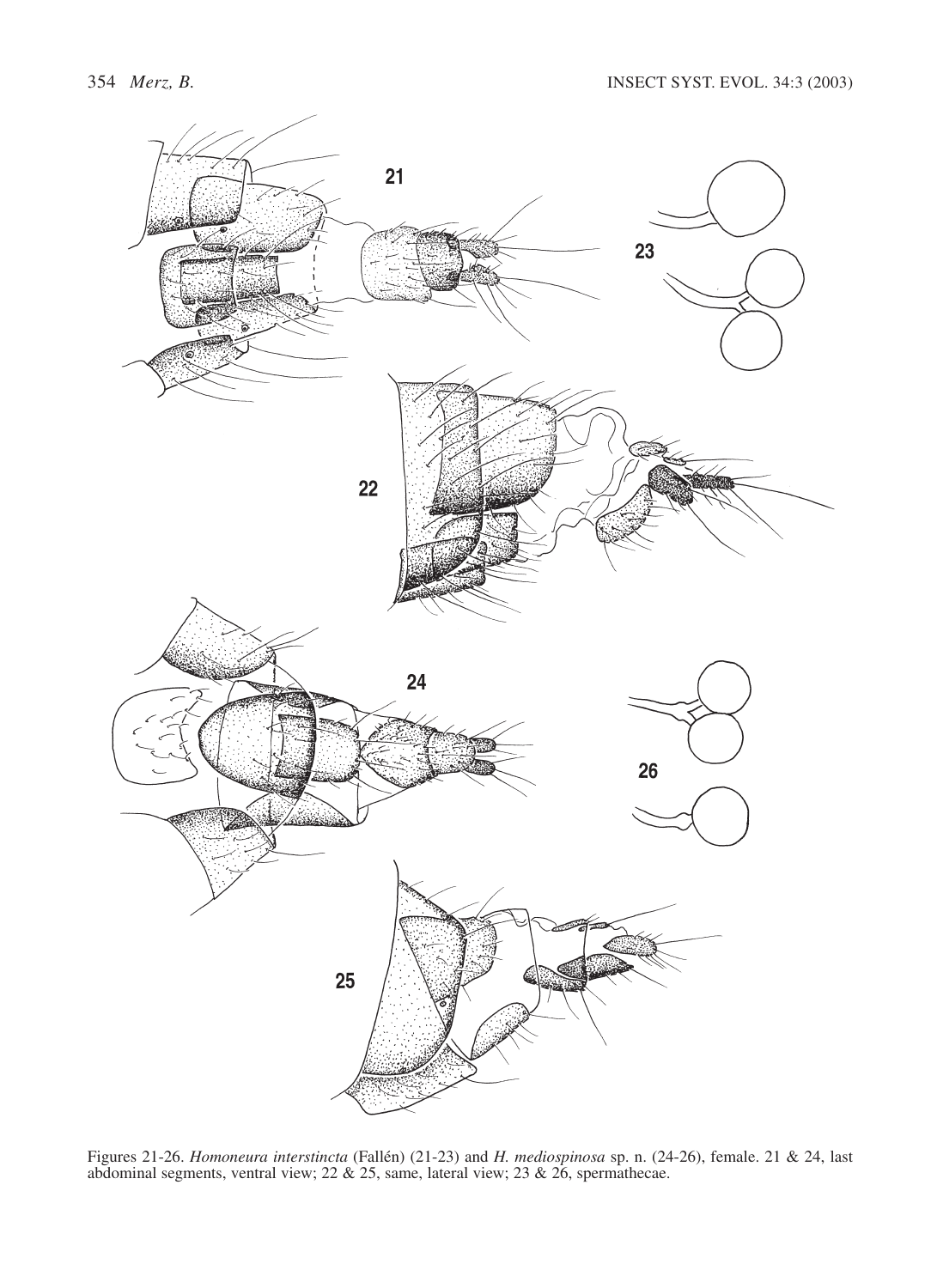

Figures 21-26. *Homoneura interstincta* (Fallén) (21-23) and *H. mediospinosa* sp. n. (24-26), female. 21 & 24, last abdominal segments, ventral view;  $22 \& 25$ , same, lateral view;  $23 \& 26$ , spermathecae.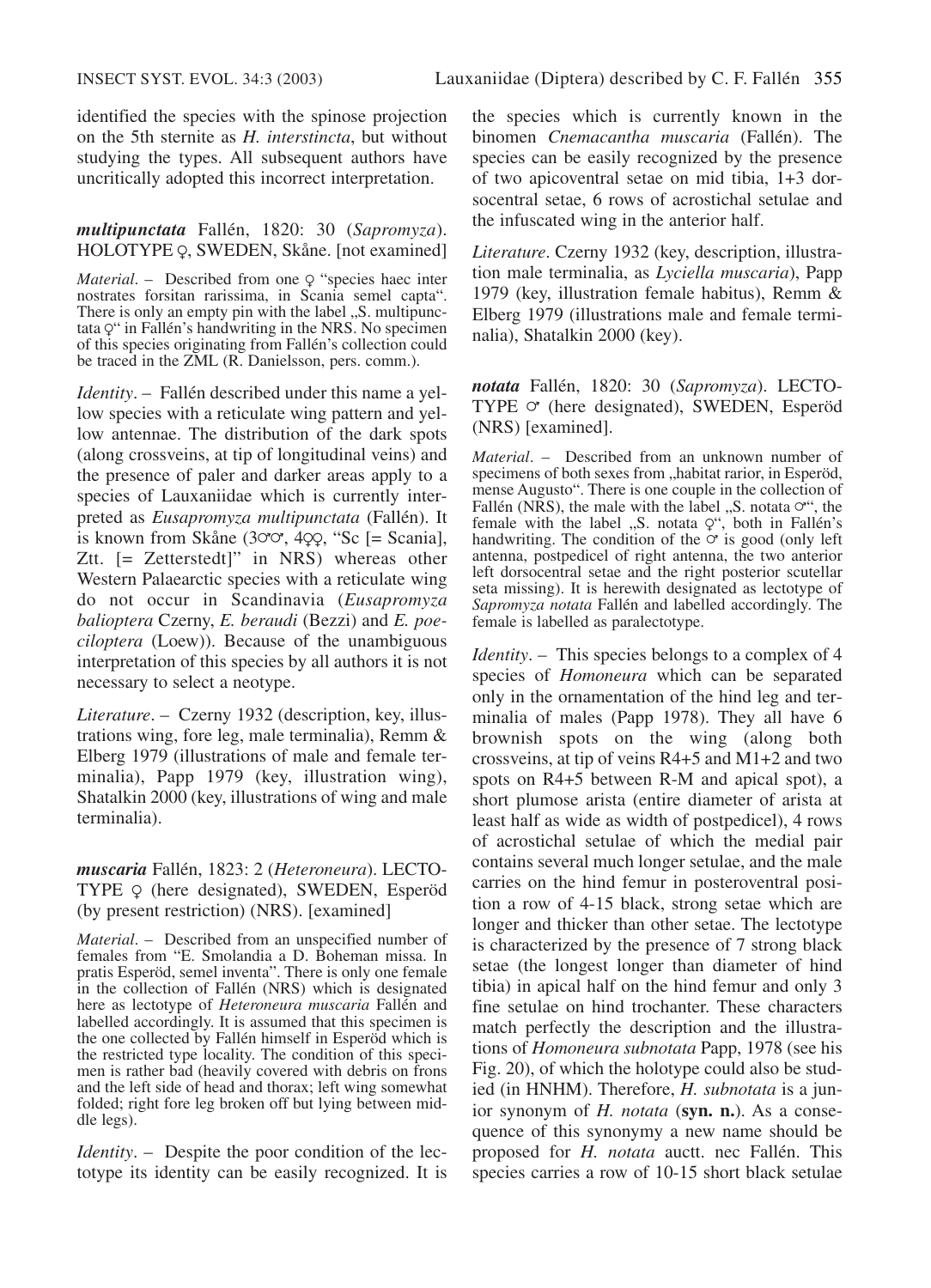identified the species with the spinose projection on the 5th sternite as *H. interstincta*, but without studying the types. All subsequent authors have uncritically adopted this incorrect interpretation.

### *multipunctata* Fallén, 1820: 30 (*Sapromyza*). HOLOTYPE Q, SWEDEN, Skåne. [not examined]

*Material.* – Described from one  $\varphi$  "species haec inter nostrates forsitan rarissima, in Scania semel capta". There is only an empty pin with the label "S. multipunc-<br>tata  $\varphi^*$  in Fallén's handwriting in the NRS. No specimen of this species originating from Fallén's collection could be traced in the ZML (R. Danielsson, pers. comm.).

*Identity*. – Fallén described under this name a yellow species with a reticulate wing pattern and yellow antennae. The distribution of the dark spots (along crossveins, at tip of longitudinal veins) and the presence of paler and darker areas apply to a species of Lauxaniidae which is currently interpreted as *Eusapromyza multipunctata* (Fallén). It is known from Skåne (3 $\sigma\sigma$ , 4 $\varphi$ , "Sc [= Scania], Ztt. [= Zetterstedt]" in NRS) whereas other Western Palaearctic species with a reticulate wing do not occur in Scandinavia (*Eusapromyza balioptera* Czerny, *E. beraudi* (Bezzi) and *E. poeciloptera* (Loew)). Because of the unambiguous interpretation of this species by all authors it is not necessary to select a neotype.

*Literature*. – Czerny 1932 (description, key, illustrations wing, fore leg, male terminalia), Remm & Elberg 1979 (illustrations of male and female terminalia), Papp 1979 (key, illustration wing), Shatalkin 2000 (key, illustrations of wing and male terminalia).

*muscaria* Fallén, 1823: 2 (*Heteroneura*). LECTO-TYPE Q (here designated), SWEDEN, Esperöd (by present restriction) (NRS). [examined]

*Material*. – Described from an unspecified number of females from "E. Smolandia a D. Boheman missa. In pratis Esperöd, semel inventa". There is only one female in the collection of Fallén (NRS) which is designated here as lectotype of *Heteroneura muscaria* Fallén and labelled accordingly. It is assumed that this specimen is the one collected by Fallén himself in Esperöd which is the restricted type locality. The condition of this specimen is rather bad (heavily covered with debris on frons and the left side of head and thorax; left wing somewhat folded; right fore leg broken off but lying between middle legs).

*Identity.* – Despite the poor condition of the lectotype its identity can be easily recognized. It is the species which is currently known in the binomen *Cnemacantha muscaria* (Fallén). The species can be easily recognized by the presence of two apicoventral setae on mid tibia, 1+3 dorsocentral setae, 6 rows of acrostichal setulae and the infuscated wing in the anterior half.

*Literature*. Czerny 1932 (key, description, illustration male terminalia, as *Lyciella muscaria*), Papp 1979 (key, illustration female habitus), Remm & Elberg 1979 (illustrations male and female terminalia), Shatalkin 2000 (key).

*notata* Fallén, 1820: 30 (*Sapromyza*). LECTO-TYPE  $\circ$  (here designated), SWEDEN, Esperöd (NRS) [examined].

*Material*. – Described from an unknown number of specimens of both sexes from "habitat rarior, in Esperöd, mense Augusto". There is one couple in the collection of Fallén (NRS), the male with the label  $\mu$ , S. notata  $\sigma$ <sup>\*\*</sup>, the female with the label  $\alpha$ , S. notata  $Q^{\alpha}$ , both in Fallén's handwriting. The condition of the  $\sigma$  is good (only left antenna, postpedicel of right antenna, the two anterior left dorsocentral setae and the right posterior scutellar seta missing). It is herewith designated as lectotype of *Sapromyza notata* Fallén and labelled accordingly. The female is labelled as paralectotype.

*Identity*. – This species belongs to a complex of 4 species of *Homoneura* which can be separated only in the ornamentation of the hind leg and terminalia of males (Papp 1978). They all have 6 brownish spots on the wing (along both crossveins, at tip of veins R4+5 and M1+2 and two spots on R4+5 between R-M and apical spot), a short plumose arista (entire diameter of arista at least half as wide as width of postpedicel), 4 rows of acrostichal setulae of which the medial pair contains several much longer setulae, and the male carries on the hind femur in posteroventral position a row of 4-15 black, strong setae which are longer and thicker than other setae. The lectotype is characterized by the presence of 7 strong black setae (the longest longer than diameter of hind tibia) in apical half on the hind femur and only 3 fine setulae on hind trochanter. These characters match perfectly the description and the illustrations of *Homoneura subnotata* Papp, 1978 (see his Fig. 20), of which the holotype could also be studied (in HNHM). Therefore, *H. subnotata* is a junior synonym of *H. notata* (**syn. n.**). As a consequence of this synonymy a new name should be proposed for *H. notata* auctt. nec Fallén. This species carries a row of 10-15 short black setulae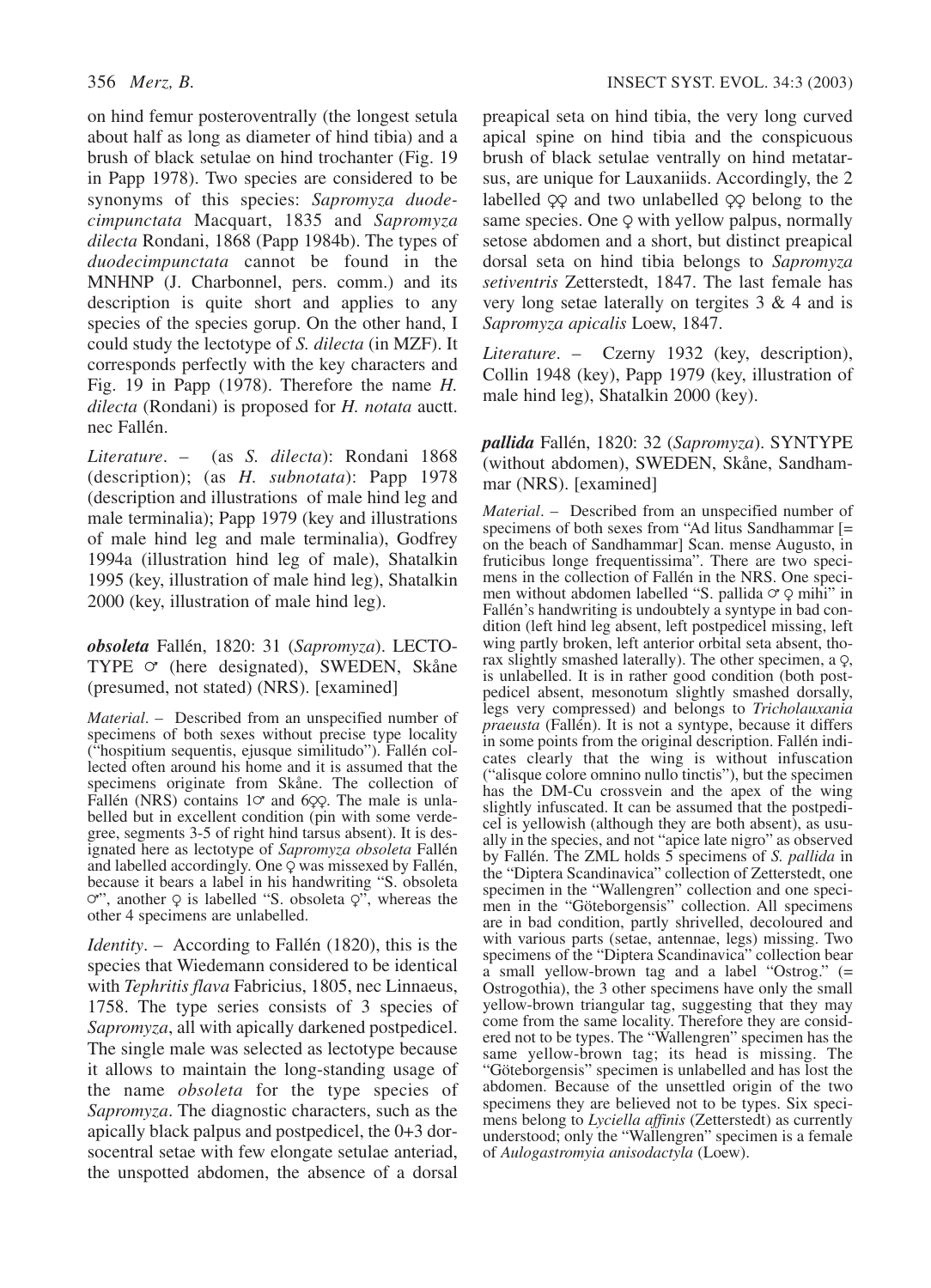on hind femur posteroventrally (the longest setula about half as long as diameter of hind tibia) and a brush of black setulae on hind trochanter (Fig. 19 in Papp 1978). Two species are considered to be synonyms of this species: *Sapromyza duodecimpunctata* Macquart, 1835 and *Sapromyza dilecta* Rondani, 1868 (Papp 1984b). The types of *duodecimpunctata* cannot be found in the MNHNP (J. Charbonnel, pers. comm.) and its description is quite short and applies to any species of the species gorup. On the other hand, I could study the lectotype of *S. dilecta* (in MZF). It corresponds perfectly with the key characters and Fig. 19 in Papp (1978). Therefore the name *H. dilecta* (Rondani) is proposed for *H. notata* auctt. nec Fallén.

*Literature*. – (as *S. dilecta*): Rondani 1868 (description); (as *H. subnotata*): Papp 1978 (description and illustrations of male hind leg and male terminalia); Papp 1979 (key and illustrations of male hind leg and male terminalia), Godfrey 1994a (illustration hind leg of male), Shatalkin 1995 (key, illustration of male hind leg), Shatalkin 2000 (key, illustration of male hind leg).

*obsoleta* Fallén, 1820: 31 (*Sapromyza*). LECTO-TYPE  $\circ$  (here designated), SWEDEN, Skåne (presumed, not stated) (NRS). [examined]

*Material*. – Described from an unspecified number of specimens of both sexes without precise type locality ("hospitium sequentis, ejusque similitudo"). Fallén collected often around his home and it is assumed that the specimens originate from Skåne. The collection of Fallén (NRS) contains 1 $\sigma$  and 6 $\varphi$ . The male is unlabelled but in excellent condition (pin with some verdegree, segments 3-5 of right hind tarsus absent). It is designated here as lectotype of *Sapromyza obsoleta* Fallén and labelled accordingly. One  $\varphi$  was missexed by Fallén, because it bears a label in his handwriting "S. obsoleta  $\varphi$ ", another  $\varphi$  is labelled "S. obsoleta  $\varphi$ ", whereas the other 4 specimens are unlabelled.

*Identity*. – According to Fallén (1820), this is the species that Wiedemann considered to be identical with *Tephritis flava* Fabricius, 1805, nec Linnaeus, 1758. The type series consists of 3 species of *Sapromyza*, all with apically darkened postpedicel. The single male was selected as lectotype because it allows to maintain the long-standing usage of the name *obsoleta* for the type species of *Sapromyza*. The diagnostic characters, such as the apically black palpus and postpedicel, the 0+3 dorsocentral setae with few elongate setulae anteriad, the unspotted abdomen, the absence of a dorsal

preapical seta on hind tibia, the very long curved apical spine on hind tibia and the conspicuous brush of black setulae ventrally on hind metatarsus, are unique for Lauxaniids. Accordingly, the 2 labelled  $\varphi$  and two unlabelled  $\varphi$  belong to the same species. One  $\varphi$  with yellow palpus, normally setose abdomen and a short, but distinct preapical dorsal seta on hind tibia belongs to *Sapromyza setiventris* Zetterstedt, 1847. The last female has very long setae laterally on tergites 3 & 4 and is *Sapromyza apicalis* Loew, 1847.

*Literature*. – Czerny 1932 (key, description), Collin 1948 (key), Papp 1979 (key, illustration of male hind leg), Shatalkin 2000 (key).

*pallida* Fallén, 1820: 32 (*Sapromyza*). SYNTYPE (without abdomen), SWEDEN, Skåne, Sandhammar (NRS). [examined]

*Material*. – Described from an unspecified number of specimens of both sexes from "Ad litus Sandhammar [= on the beach of Sandhammar] Scan. mense Augusto, in fruticibus longe frequentissima". There are two specimens in the collection of Fallén in the NRS. One specimen without abdomen labelled "S. pallida  $\circ$   $\circ$  mihi" in Fallén's handwriting is undoubtely a syntype in bad condition (left hind leg absent, left postpedicel missing, left wing partly broken, left anterior orbital seta absent, thorax slightly smashed laterally). The other specimen, a  $\varphi$ , is unlabelled. It is in rather good condition (both postpedicel absent, mesonotum slightly smashed dorsally, legs very compressed) and belongs to *Tricholauxania praeusta* (Fallén). It is not a syntype, because it differs in some points from the original description. Fallén indicates clearly that the wing is without infuscation ("alisque colore omnino nullo tinctis"), but the specimen has the DM-Cu crossvein and the apex of the wing slightly infuscated. It can be assumed that the postpedicel is yellowish (although they are both absent), as usually in the species, and not "apice late nigro" as observed by Fallén. The ZML holds 5 specimens of *S. pallida* in the "Diptera Scandinavica" collection of Zetterstedt, one specimen in the "Wallengren" collection and one specimen in the "Göteborgensis" collection. All specimens are in bad condition, partly shrivelled, decoloured and with various parts (setae, antennae, legs) missing. Two specimens of the "Diptera Scandinavica" collection bear a small yellow-brown tag and a label "Ostrog." (= Ostrogothia), the 3 other specimens have only the small yellow-brown triangular tag, suggesting that they may come from the same locality. Therefore they are considered not to be types. The "Wallengren" specimen has the same yellow-brown tag; its head is missing. The "Göteborgensis" specimen is unlabelled and has lost the abdomen. Because of the unsettled origin of the two specimens they are believed not to be types. Six specimens belong to *Lyciella affinis* (Zetterstedt) as currently understood; only the "Wallengren" specimen is a female of *Aulogastromyia anisodactyla* (Loew).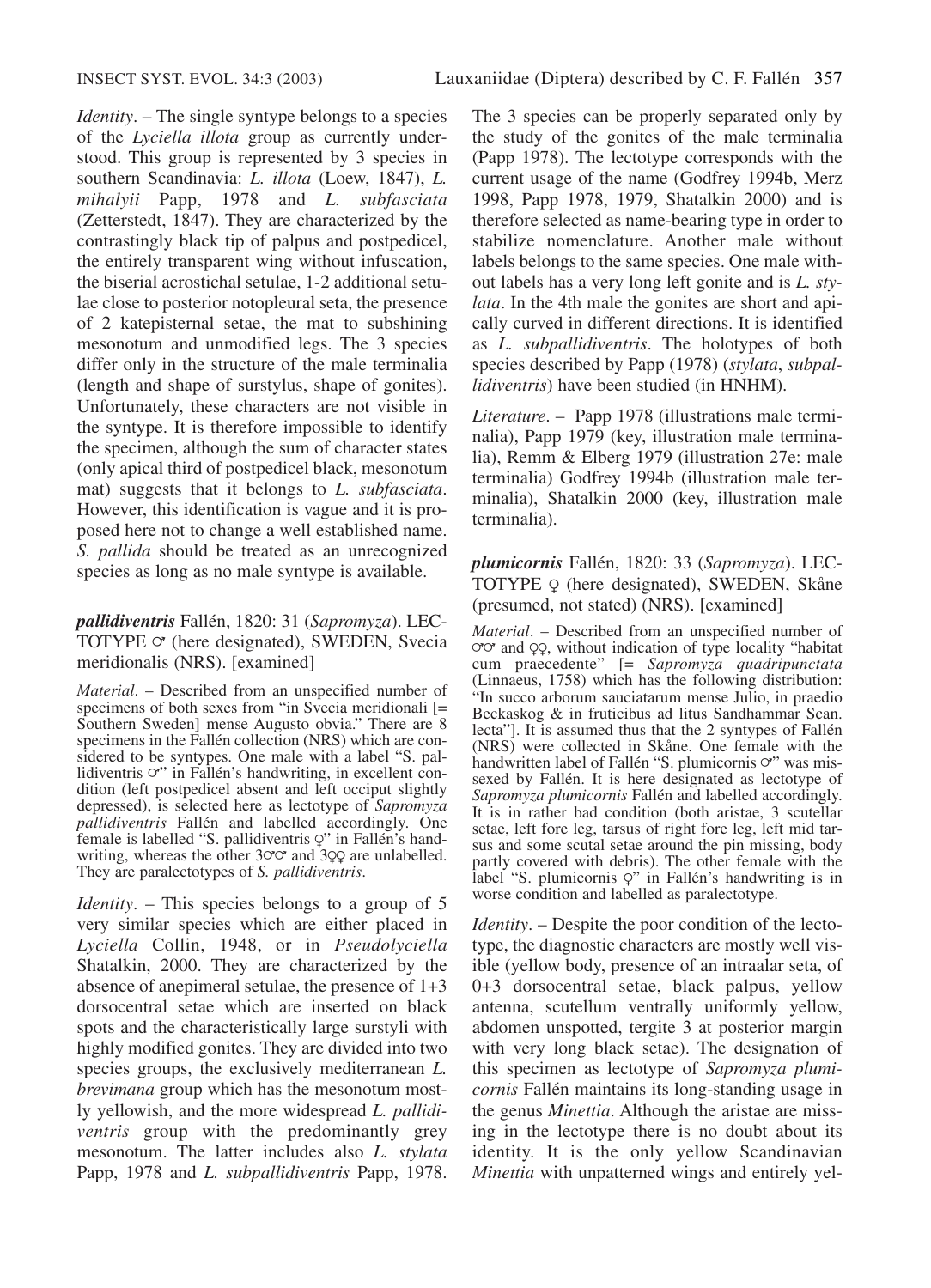*Identity*. – The single syntype belongs to a species of the *Lyciella illota* group as currently understood. This group is represented by 3 species in southern Scandinavia: *L. illota* (Loew, 1847), *L. mihalyii* Papp, 1978 and *L. subfasciata* (Zetterstedt, 1847). They are characterized by the contrastingly black tip of palpus and postpedicel, the entirely transparent wing without infuscation, the biserial acrostichal setulae, 1-2 additional setulae close to posterior notopleural seta, the presence of 2 katepisternal setae, the mat to subshining mesonotum and unmodified legs. The 3 species differ only in the structure of the male terminalia (length and shape of surstylus, shape of gonites). Unfortunately, these characters are not visible in the syntype. It is therefore impossible to identify the specimen, although the sum of character states (only apical third of postpedicel black, mesonotum mat) suggests that it belongs to *L. subfasciata*. However, this identification is vague and it is proposed here not to change a well established name. *S. pallida* should be treated as an unrecognized species as long as no male syntype is available.

## *pallidiventris* Fallén, 1820: 31 (*Sapromyza*). LEC-TOTYPE  $\circ$  (here designated), SWEDEN, Svecia meridionalis (NRS). [examined]

*Material*. – Described from an unspecified number of specimens of both sexes from "in Svecia meridionali [= Southern Sweden] mense Augusto obvia." There are 8 specimens in the Fallén collection (NRS) which are considered to be syntypes. One male with a label "S. pallidiventris  $\sigma$ " in Fallén's handwriting, in excellent condition (left postpedicel absent and left occiput slightly depressed), is selected here as lectotype of *Sapromyza pallidiventris* Fallén and labelled accordingly. One female is labelled "S. pallidiventris  $Q$ " in Fallén's handwriting, whereas the other  $30^\circ$  and  $39^\circ$  are unlabelled. They are paralectotypes of *S. pallidiventris*.

*Identity*. – This species belongs to a group of 5 very similar species which are either placed in *Lyciella* Collin, 1948, or in *Pseudolyciella* Shatalkin, 2000. They are characterized by the absence of anepimeral setulae, the presence of 1+3 dorsocentral setae which are inserted on black spots and the characteristically large surstyli with highly modified gonites. They are divided into two species groups, the exclusively mediterranean *L. brevimana* group which has the mesonotum mostly yellowish, and the more widespread *L. pallidiventris* group with the predominantly grey mesonotum. The latter includes also *L. stylata* Papp, 1978 and *L. subpallidiventris* Papp, 1978.

The 3 species can be properly separated only by the study of the gonites of the male terminalia (Papp 1978). The lectotype corresponds with the current usage of the name (Godfrey 1994b, Merz 1998, Papp 1978, 1979, Shatalkin 2000) and is therefore selected as name-bearing type in order to stabilize nomenclature. Another male without labels belongs to the same species. One male without labels has a very long left gonite and is *L. stylata*. In the 4th male the gonites are short and apically curved in different directions. It is identified as *L. subpallidiventris*. The holotypes of both species described by Papp (1978) (*stylata*, *subpallidiventris*) have been studied (in HNHM).

*Literature*. – Papp 1978 (illustrations male terminalia), Papp 1979 (key, illustration male terminalia), Remm & Elberg 1979 (illustration 27e: male terminalia) Godfrey 1994b (illustration male terminalia), Shatalkin 2000 (key, illustration male terminalia).

*plumicornis* Fallén, 1820: 33 (*Sapromyza*). LEC-TOTYPE  $\varphi$  (here designated), SWEDEN, Skåne (presumed, not stated) (NRS). [examined]

*Material*. – Described from an unspecified number of  $\sigma \sigma$  and  $\varphi$ , without indication of type locality "habitat cum praecedente" [= *Sapromyza quadripunctata* (Linnaeus, 1758) which has the following distribution: "In succo arborum sauciatarum mense Julio, in praedio Beckaskog & in fruticibus ad litus Sandhammar Scan. lecta"]. It is assumed thus that the 2 syntypes of Fallén (NRS) were collected in Skåne. One female with the handwritten label of Fallén "S. plumicornis  $\sigma$ " was missexed by Fallén. It is here designated as lectotype of *Sapromyza plumicornis* Fallén and labelled accordingly. It is in rather bad condition (both aristae, 3 scutellar setae, left fore leg, tarsus of right fore leg, left mid tarsus and some scutal setae around the pin missing, body partly covered with debris). The other female with the label "S. plumicornis  $Q$ " in Fallén's handwriting is in worse condition and labelled as paralectotype.

*Identity*. – Despite the poor condition of the lectotype, the diagnostic characters are mostly well visible (yellow body, presence of an intraalar seta, of 0+3 dorsocentral setae, black palpus, yellow antenna, scutellum ventrally uniformly yellow, abdomen unspotted, tergite 3 at posterior margin with very long black setae). The designation of this specimen as lectotype of *Sapromyza plumicornis* Fallén maintains its long-standing usage in the genus *Minettia*. Although the aristae are missing in the lectotype there is no doubt about its identity. It is the only yellow Scandinavian *Minettia* with unpatterned wings and entirely yel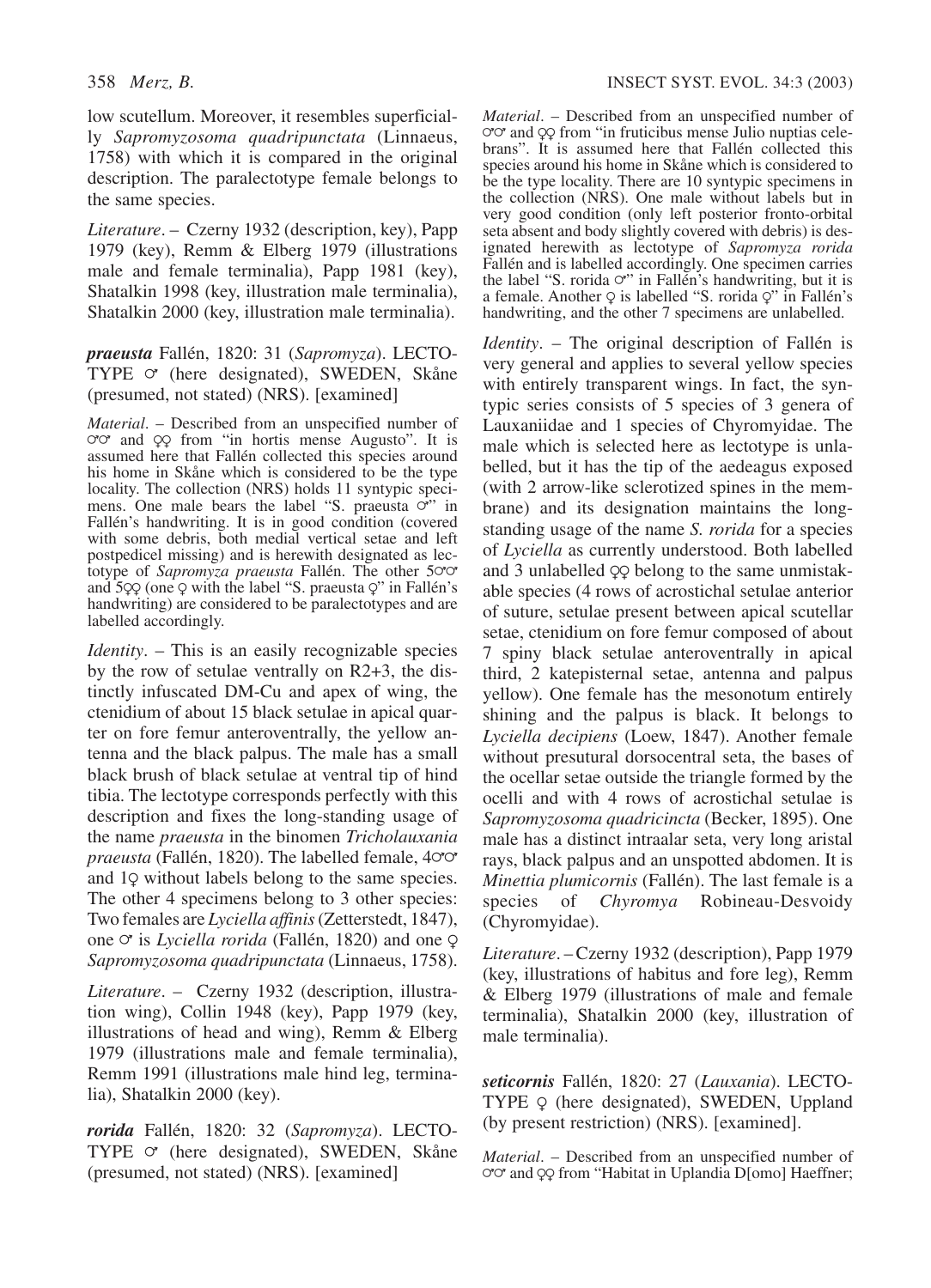low scutellum. Moreover, it resembles superficially *Sapromyzosoma quadripunctata* (Linnaeus, 1758) with which it is compared in the original description. The paralectotype female belongs to the same species.

*Literature*. – Czerny 1932 (description, key), Papp 1979 (key), Remm & Elberg 1979 (illustrations male and female terminalia), Papp 1981 (key), Shatalkin 1998 (key, illustration male terminalia), Shatalkin 2000 (key, illustration male terminalia).

*praeusta* Fallén, 1820: 31 (*Sapromyza*). LECTO-TYPE  $\circ$  (here designated), SWEDEN, Skåne (presumed, not stated) (NRS). [examined]

*Material*. – Described from an unspecified number of ord and  $QQ$  from "in hortis mense Augusto". It is assumed here that Fallén collected this species around his home in Skåne which is considered to be the type locality. The collection (NRS) holds 11 syntypic speci-<br>mens. One male bears the label "S. praeusta  $\circ$ " in Fallén's handwriting. It is in good condition (covered with some debris, both medial vertical setae and left postpedicel missing) and is herewith designated as lectotype of *Sapromyza praeusta* Fallén. The other 500 and  $5QQ$  (one Q with the label "S. praeusta Q" in Fallén's handwriting) are considered to be paralectotypes and are labelled accordingly.

*Identity*. – This is an easily recognizable species by the row of setulae ventrally on R2+3, the distinctly infuscated DM-Cu and apex of wing, the ctenidium of about 15 black setulae in apical quarter on fore femur anteroventrally, the yellow antenna and the black palpus. The male has a small black brush of black setulae at ventral tip of hind tibia. The lectotype corresponds perfectly with this description and fixes the long-standing usage of the name *praeusta* in the binomen *Tricholauxania*  $praeusta$  (Fallén, 1820). The labelled female,  $4°$ and 19 without labels belong to the same species. The other 4 specimens belong to 3 other species: Two females are *Lyciella affinis*(Zetterstedt, 1847), one  $\sigma$  is *Lyciella rorida* (Fallén, 1820) and one  $\varphi$ *Sapromyzosoma quadripunctata* (Linnaeus, 1758).

*Literature*. – Czerny 1932 (description, illustration wing), Collin 1948 (key), Papp 1979 (key, illustrations of head and wing), Remm & Elberg 1979 (illustrations male and female terminalia), Remm 1991 (illustrations male hind leg, terminalia), Shatalkin 2000 (key).

*rorida* Fallén, 1820: 32 (*Sapromyza*). LECTO-TYPE  $\circ$  (here designated), SWEDEN, Skåne (presumed, not stated) (NRS). [examined]

*Material*. – Described from an unspecified number of  $\sigma \sigma$  and  $\varphi$  from "in fruticibus mense Julio nuptias celebrans". It is assumed here that Fallén collected this species around his home in Skåne which is considered to be the type locality. There are 10 syntypic specimens in the collection (NRS). One male without labels but in very good condition (only left posterior fronto-orbital seta absent and body slightly covered with debris) is designated herewith as lectotype of *Sapromyza rorida* Fallén and is labelled accordingly. One specimen carries the label "S. rorida  $\circ$ " in Fallén's handwriting, but it is a female. Another  $Q$  is labelled "S. rorida  $Q$ " in Fallén's handwriting, and the other 7 specimens are unlabelled.

*Identity*. – The original description of Fallén is very general and applies to several yellow species with entirely transparent wings. In fact, the syntypic series consists of 5 species of 3 genera of Lauxaniidae and 1 species of Chyromyidae. The male which is selected here as lectotype is unlabelled, but it has the tip of the aedeagus exposed (with 2 arrow-like sclerotized spines in the membrane) and its designation maintains the longstanding usage of the name *S. rorida* for a species of *Lyciella* as currently understood. Both labelled and 3 unlabelled  $\varphi \varphi$  belong to the same unmistakable species (4 rows of acrostichal setulae anterior of suture, setulae present between apical scutellar setae, ctenidium on fore femur composed of about 7 spiny black setulae anteroventrally in apical third, 2 katepisternal setae, antenna and palpus yellow). One female has the mesonotum entirely shining and the palpus is black. It belongs to *Lyciella decipiens* (Loew, 1847). Another female without presutural dorsocentral seta, the bases of the ocellar setae outside the triangle formed by the ocelli and with 4 rows of acrostichal setulae is *Sapromyzosoma quadricincta* (Becker, 1895). One male has a distinct intraalar seta, very long aristal rays, black palpus and an unspotted abdomen. It is *Minettia plumicornis* (Fallén). The last female is a species of *Chyromya* Robineau-Desvoidy (Chyromyidae).

*Literature*. –Czerny 1932 (description), Papp 1979 (key, illustrations of habitus and fore leg), Remm & Elberg 1979 (illustrations of male and female terminalia), Shatalkin 2000 (key, illustration of male terminalia).

*seticornis* Fallén, 1820: 27 (*Lauxania*). LECTO-TYPE Q (here designated), SWEDEN, Uppland (by present restriction) (NRS). [examined].

*Material.* – Described from an unspecified number of  $\sigma \sigma$  and  $\varphi \varphi$  from "Habitat in Uplandia D[omo] Haeffner;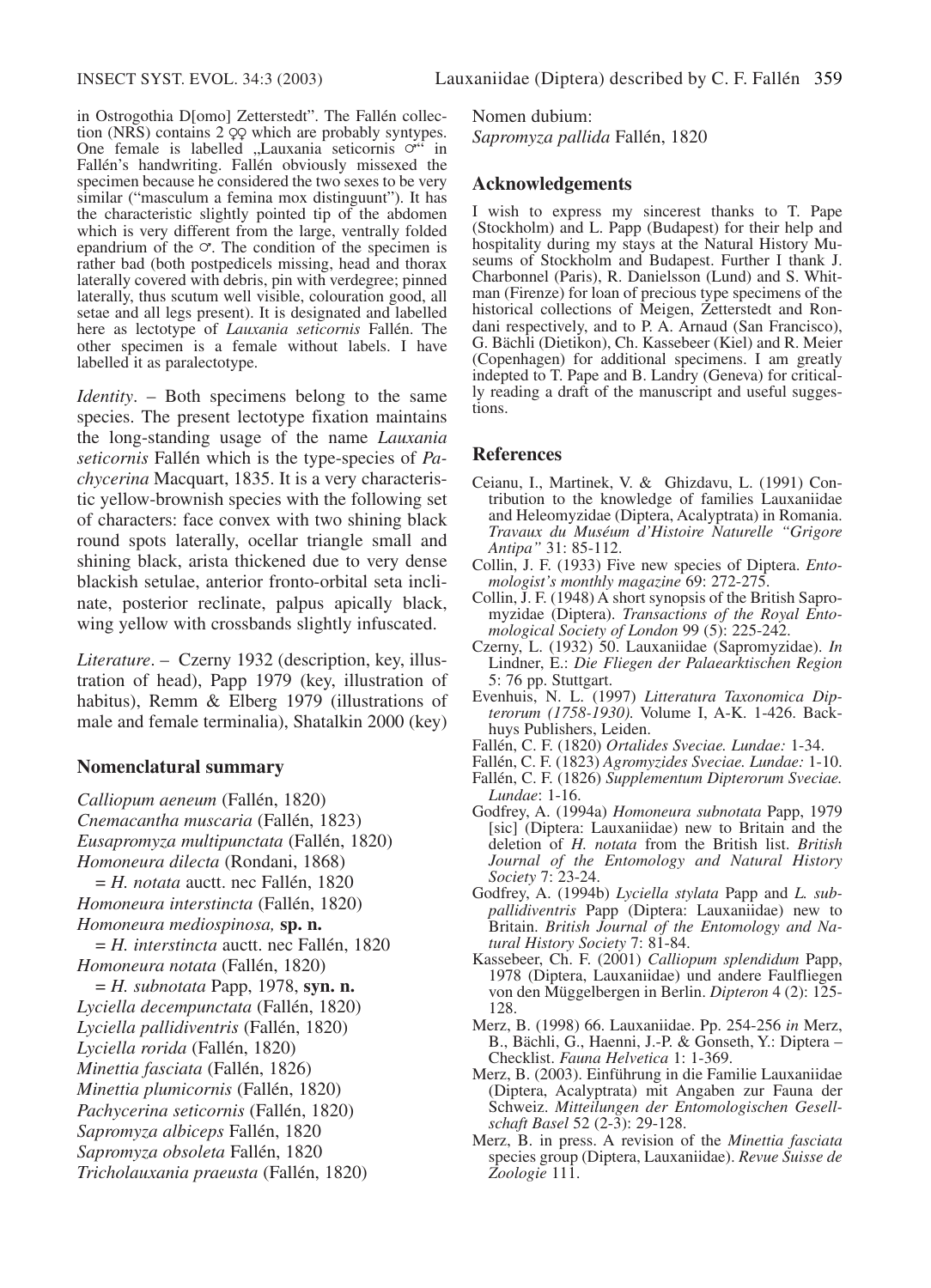in Ostrogothia D[omo] Zetterstedt". The Fallén collection (NRS) contains  $2 \Omega$  which are probably syntypes. One female is labelled "Lauxania seticornis  $\circ$ <sup>"</sup> in Fallén's handwriting. Fallén obviously missexed the specimen because he considered the two sexes to be very similar ("masculum a femina mox distinguunt"). It has the characteristic slightly pointed tip of the abdomen which is very different from the large, ventrally folded epandrium of the  $\sigma$ . The condition of the specimen is rather bad (both postpedicels missing, head and thorax laterally covered with debris, pin with verdegree; pinned laterally, thus scutum well visible, colouration good, all setae and all legs present). It is designated and labelled here as lectotype of *Lauxania seticornis* Fallén. The other specimen is a female without labels. I have labelled it as paralectotype.

*Identity*. – Both specimens belong to the same species. The present lectotype fixation maintains the long-standing usage of the name *Lauxania seticornis* Fallén which is the type-species of *Pachycerina* Macquart, 1835. It is a very characteristic yellow-brownish species with the following set of characters: face convex with two shining black round spots laterally, ocellar triangle small and shining black, arista thickened due to very dense blackish setulae, anterior fronto-orbital seta inclinate, posterior reclinate, palpus apically black, wing yellow with crossbands slightly infuscated.

*Literature*. – Czerny 1932 (description, key, illustration of head), Papp 1979 (key, illustration of habitus), Remm & Elberg 1979 (illustrations of male and female terminalia), Shatalkin 2000 (key)

### **Nomenclatural summary**

*Calliopum aeneum* (Fallén, 1820) *Cnemacantha muscaria* (Fallén, 1823) *Eusapromyza multipunctata* (Fallén, 1820) *Homoneura dilecta* (Rondani, 1868) = *H. notata* auctt. nec Fallén, 1820 *Homoneura interstincta* (Fallén, 1820) *Homoneura mediospinosa,* **sp. n.** = *H. interstincta* auctt. nec Fallén, 1820 *Homoneura notata* (Fallén, 1820) = *H. subnotata* Papp, 1978, **syn. n.** *Lyciella decempunctata* (Fallén, 1820) *Lyciella pallidiventris* (Fallén, 1820) *Lyciella rorida* (Fallén, 1820) *Minettia fasciata* (Fallén, 1826) *Minettia plumicornis* (Fallén, 1820) *Pachycerina seticornis* (Fallén, 1820) *Sapromyza albiceps* Fallén, 1820 *Sapromyza obsoleta* Fallén, 1820 *Tricholauxania praeusta* (Fallén, 1820)

Nomen dubium: *Sapromyza pallida* Fallén, 1820

### **Acknowledgements**

I wish to express my sincerest thanks to T. Pape (Stockholm) and L. Papp (Budapest) for their help and hospitality during my stays at the Natural History Museums of Stockholm and Budapest. Further I thank J. Charbonnel (Paris), R. Danielsson (Lund) and S. Whitman (Firenze) for loan of precious type specimens of the historical collections of Meigen, Zetterstedt and Rondani respectively, and to P. A. Arnaud (San Francisco), G. Bächli (Dietikon), Ch. Kassebeer (Kiel) and R. Meier (Copenhagen) for additional specimens. I am greatly indepted to T. Pape and B. Landry (Geneva) for critically reading a draft of the manuscript and useful suggestions.

### **References**

- Ceianu, I., Martinek, V. & Ghizdavu, L. (1991) Contribution to the knowledge of families Lauxaniidae and Heleomyzidae (Diptera, Acalyptrata) in Romania. *Travaux du Muséum d'Histoire Naturelle "Grigore Antipa"* 31: 85-112.
- Collin, J. F. (1933) Five new species of Diptera. *Entomologist's monthly magazine* 69: 272-275.
- Collin, J. F. (1948) A short synopsis of the British Sapromyzidae (Diptera). *Transactions of the Royal Entomological Society of London* 99 (5): 225-242.
- Czerny, L. (1932) 50. Lauxaniidae (Sapromyzidae). *In* Lindner, E.: *Die Fliegen der Palaearktischen Region* 5: 76 pp. Stuttgart.
- Evenhuis, N. L. (1997) *Litteratura Taxonomica Dipterorum (1758-1930).* Volume I, A-K. 1-426. Backhuys Publishers, Leiden.
- Fallén, C. F. (1820) *Ortalides Sveciae. Lundae:* 1-34.
- Fallén, C. F. (1823) *Agromyzides Sveciae. Lundae:* 1-10.
- Fallén, C. F. (1826) *Supplementum Dipterorum Sveciae. Lundae*: 1-16.
- Godfrey, A. (1994a) *Homoneura subnotata* Papp, 1979 [sic] (Diptera: Lauxaniidae) new to Britain and the deletion of *H. notata* from the British list. *British Journal of the Entomology and Natural History Society* 7: 23-24.
- Godfrey, A. (1994b) *Lyciella stylata* Papp and *L. subpallidiventris* Papp (Diptera: Lauxaniidae) new to Britain. *British Journal of the Entomology and Natural History Society* 7: 81-84.
- Kassebeer, Ch. F. (2001) *Calliopum splendidum* Papp, 1978 (Diptera, Lauxaniidae) und andere Faulfliegen von den Müggelbergen in Berlin. *Dipteron* 4 (2): 125- 128.
- Merz, B. (1998) 66. Lauxaniidae. Pp. 254-256 *in* Merz, B., Bächli, G., Haenni, J.-P. & Gonseth, Y.: Diptera – Checklist. *Fauna Helvetica* 1: 1-369.
- Merz, B. (2003). Einführung in die Familie Lauxaniidae (Diptera, Acalyptrata) mit Angaben zur Fauna der Schweiz. *Mitteilungen der Entomologischen Gesellschaft Basel* 52 (2-3): 29-128.
- Merz, B. in press. A revision of the *Minettia fasciata* species group (Diptera, Lauxaniidae). *Revue Suisse de Zoologie* 111.